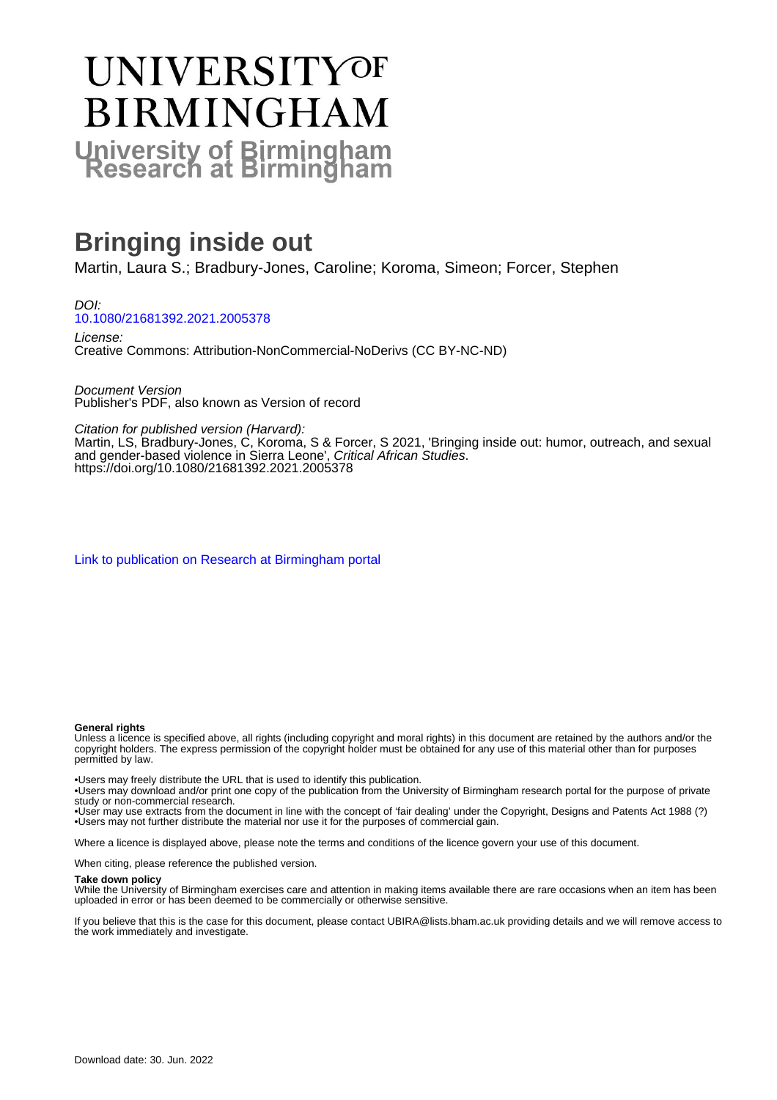# **UNIVERSITYOF BIRMINGHAM University of Birmingham**

# **Bringing inside out**

Martin, Laura S.; Bradbury-Jones, Caroline; Koroma, Simeon; Forcer, Stephen

DOI: [10.1080/21681392.2021.2005378](https://doi.org/10.1080/21681392.2021.2005378)

License: Creative Commons: Attribution-NonCommercial-NoDerivs (CC BY-NC-ND)

Document Version Publisher's PDF, also known as Version of record

Citation for published version (Harvard):

Martin, LS, Bradbury-Jones, C, Koroma, S & Forcer, S 2021, 'Bringing inside out: humor, outreach, and sexual and gender-based violence in Sierra Leone', Critical African Studies. <https://doi.org/10.1080/21681392.2021.2005378>

[Link to publication on Research at Birmingham portal](https://birmingham.elsevierpure.com/en/publications/f8f42a39-9341-4ec9-87c7-b8b501653f8b)

#### **General rights**

Unless a licence is specified above, all rights (including copyright and moral rights) in this document are retained by the authors and/or the copyright holders. The express permission of the copyright holder must be obtained for any use of this material other than for purposes permitted by law.

• Users may freely distribute the URL that is used to identify this publication.

• Users may download and/or print one copy of the publication from the University of Birmingham research portal for the purpose of private study or non-commercial research.

• User may use extracts from the document in line with the concept of 'fair dealing' under the Copyright, Designs and Patents Act 1988 (?) • Users may not further distribute the material nor use it for the purposes of commercial gain.

Where a licence is displayed above, please note the terms and conditions of the licence govern your use of this document.

When citing, please reference the published version.

#### **Take down policy**

While the University of Birmingham exercises care and attention in making items available there are rare occasions when an item has been uploaded in error or has been deemed to be commercially or otherwise sensitive.

If you believe that this is the case for this document, please contact UBIRA@lists.bham.ac.uk providing details and we will remove access to the work immediately and investigate.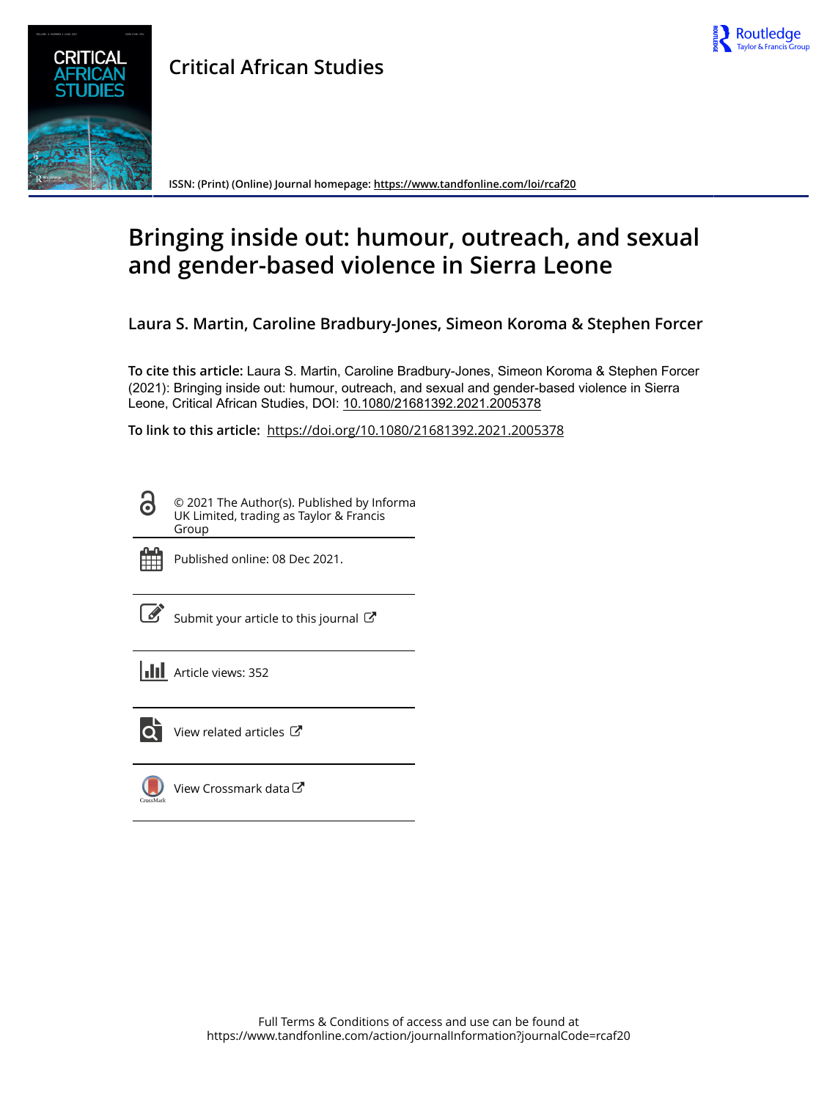

# **Critical African Studies**



**ISSN: (Print) (Online) Journal homepage:<https://www.tandfonline.com/loi/rcaf20>**

# **Bringing inside out: humour, outreach, and sexual and gender-based violence in Sierra Leone**

**Laura S. Martin, Caroline Bradbury-Jones, Simeon Koroma & Stephen Forcer**

**To cite this article:** Laura S. Martin, Caroline Bradbury-Jones, Simeon Koroma & Stephen Forcer (2021): Bringing inside out: humour, outreach, and sexual and gender-based violence in Sierra Leone, Critical African Studies, DOI: [10.1080/21681392.2021.2005378](https://www.tandfonline.com/action/showCitFormats?doi=10.1080/21681392.2021.2005378)

**To link to this article:** <https://doi.org/10.1080/21681392.2021.2005378>

© 2021 The Author(s). Published by Informa UK Limited, trading as Taylor & Francis Group



Published online: 08 Dec 2021.

[Submit your article to this journal](https://www.tandfonline.com/action/authorSubmission?journalCode=rcaf20&show=instructions)  $\mathbb{Z}$ 

**III** Article views: 352



 $\overline{Q}$  [View related articles](https://www.tandfonline.com/doi/mlt/10.1080/21681392.2021.2005378)  $\overline{C}$ 

[View Crossmark data](http://crossmark.crossref.org/dialog/?doi=10.1080/21681392.2021.2005378&domain=pdf&date_stamp=2021-12-08) $\mathbb{Z}$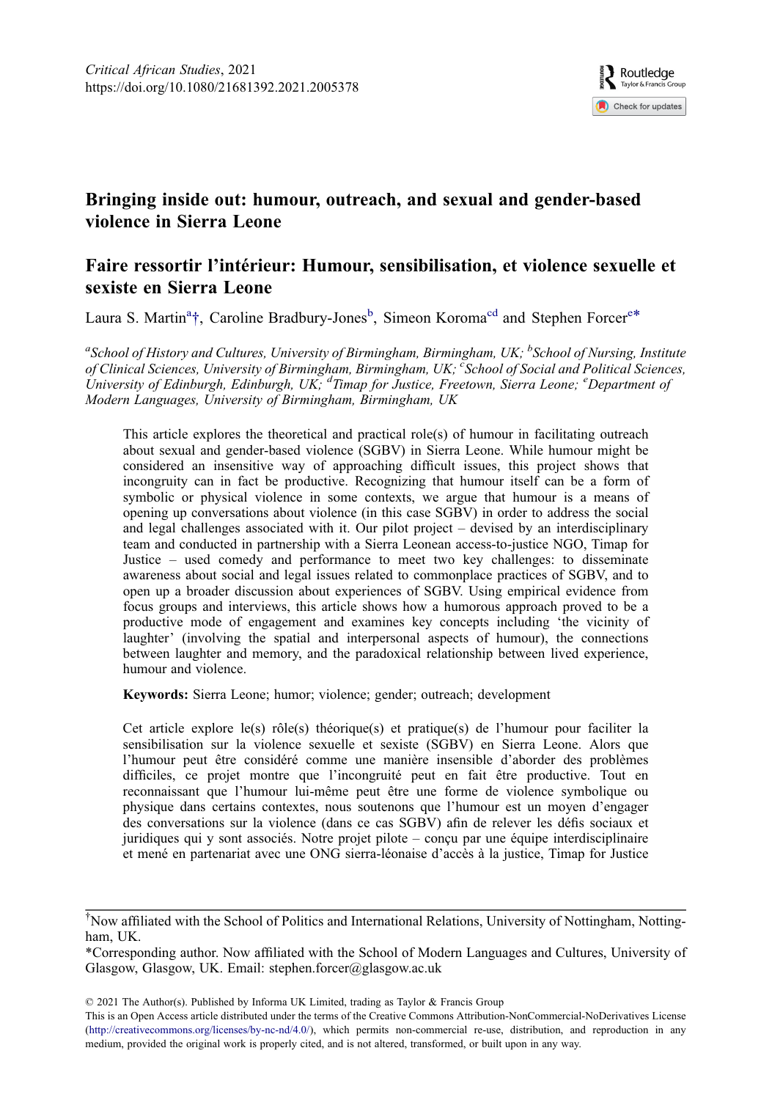

## Bringing inside out: humour, outreach, and sexual and gender-based violence in Sierra Leone

### Faire ressortir l'intérieur: Humour, sensibilisation, et violence sexuelle et sexiste en Sierra Leone

Laura S. Martin<sup>a</sup>[†](#page-2-0), Caroline Bradbury-Jones<sup>b</sup>, Simeon Koroma<sup>cd</sup> and Stephen Forcer<sup>e\*</sup>

<sup>a</sup>School of History and Cultures, University of Birmingham, Birmingham, UK; <sup>b</sup>School of Nursing, Institute of Clinical Sciences, University of Birmingham, Birmingham, UK; <sup>c</sup>School of Social and Political Sciences, University of Edinburgh, Edinburgh, UK; <sup>d</sup>Timap for Justice, Freetown, Sierra Leone; <sup>e</sup>Department of Modern Languages, University of Birmingham, Birmingham, UK

This article explores the theoretical and practical role(s) of humour in facilitating outreach about sexual and gender-based violence (SGBV) in Sierra Leone. While humour might be considered an insensitive way of approaching difficult issues, this project shows that incongruity can in fact be productive. Recognizing that humour itself can be a form of symbolic or physical violence in some contexts, we argue that humour is a means of opening up conversations about violence (in this case SGBV) in order to address the social and legal challenges associated with it. Our pilot project – devised by an interdisciplinary team and conducted in partnership with a Sierra Leonean access-to-justice NGO, Timap for Justice – used comedy and performance to meet two key challenges: to disseminate awareness about social and legal issues related to commonplace practices of SGBV, and to open up a broader discussion about experiences of SGBV. Using empirical evidence from focus groups and interviews, this article shows how a humorous approach proved to be a productive mode of engagement and examines key concepts including 'the vicinity of laughter' (involving the spatial and interpersonal aspects of humour), the connections between laughter and memory, and the paradoxical relationship between lived experience, humour and violence.

Keywords: Sierra Leone; humor; violence; gender; outreach; development

Cet article explore le(s) rôle(s) théorique(s) et pratique(s) de l'humour pour faciliter la sensibilisation sur la violence sexuelle et sexiste (SGBV) en Sierra Leone. Alors que l'humour peut être considéré comme une manière insensible d'aborder des problèmes difficiles, ce projet montre que l'incongruité peut en fait être productive. Tout en reconnaissant que l'humour lui-même peut être une forme de violence symbolique ou physique dans certains contextes, nous soutenons que l'humour est un moyen d'engager des conversations sur la violence (dans ce cas SGBV) afin de relever les défis sociaux et juridiques qui y sont associés. Notre projet pilote – conçu par une équipe interdisciplinaire et mené en partenariat avec une ONG sierra-léonaise d'accès à la justice, Timap for Justice

\*Corresponding author. Now affiliated with the School of Modern Languages and Cultures, University of Glasgow, Glasgow, UK. Email: [stephen.forcer@glasgow.ac.uk](mailto:stephen.forcer@glasgow.ac.uk)

© 2021 The Author(s). Published by Informa UK Limited, trading as Taylor & Francis Group

<span id="page-2-0"></span><sup>†</sup> Now affiliated with the School of Politics and International Relations, University of Nottingham, Nottingham, UK.

This is an Open Access article distributed under the terms of the Creative Commons Attribution-NonCommercial-NoDerivatives License (<http://creativecommons.org/licenses/by-nc-nd/4.0/>), which permits non-commercial re-use, distribution, and reproduction in any medium, provided the original work is properly cited, and is not altered, transformed, or built upon in any way.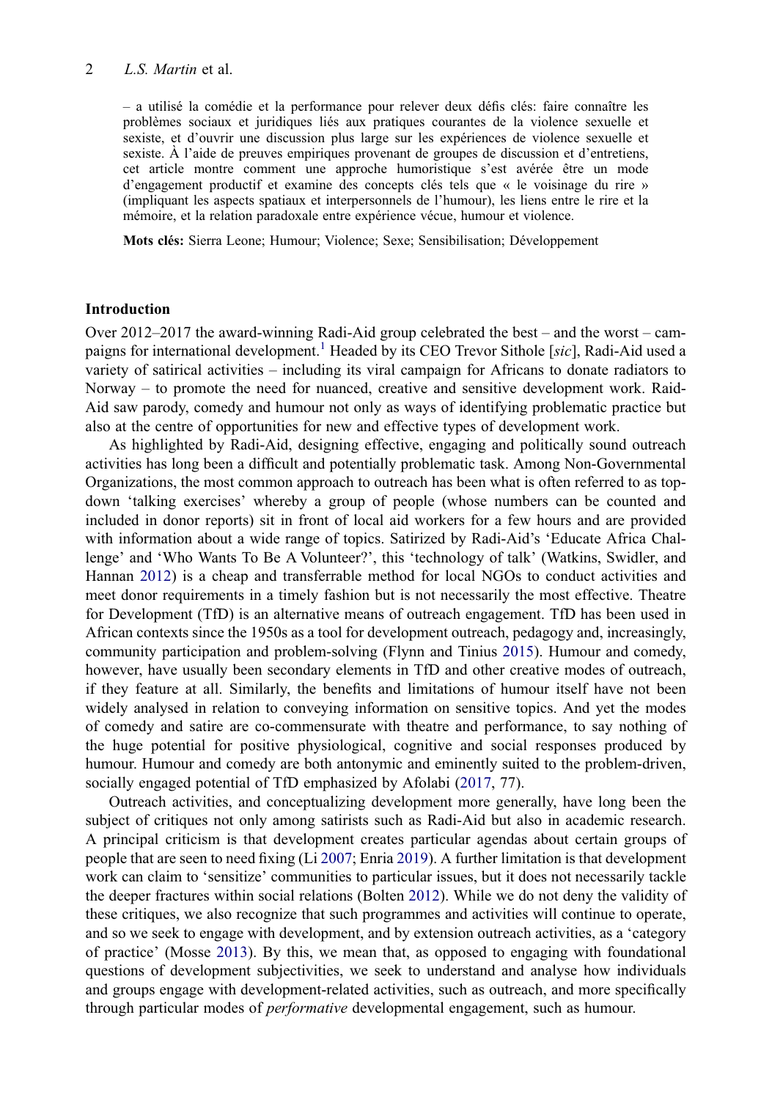#### 2 L.S. Martin et al.

– a utilisé la comédie et la performance pour relever deux défis clés: faire connaître les problèmes sociaux et juridiques liés aux pratiques courantes de la violence sexuelle et sexiste, et d'ouvrir une discussion plus large sur les expériences de violence sexuelle et sexiste. À l'aide de preuves empiriques provenant de groupes de discussion et d'entretiens, cet article montre comment une approche humoristique s'est avérée être un mode d'engagement productif et examine des concepts clés tels que « le voisinage du rire » (impliquant les aspects spatiaux et interpersonnels de l'humour), les liens entre le rire et la mémoire, et la relation paradoxale entre expérience vécue, humour et violence.

Mots clés: Sierra Leone; Humour; Violence; Sexe; Sensibilisation; Développement

#### Introduction

Over 2012–2017 the award-winning Radi-Aid group celebrated the best – and the worst – cam-paigns for international development.<sup>1</sup> [Headed by its CEO Trevor Sithole \[](#page-17-0)sic], Radi-Aid used a variety of satirical activities – including its viral campaign for Africans to donate radiators to Norway – to promote the need for nuanced, creative and sensitive development work. Raid-Aid saw parody, comedy and humour not only as ways of identifying problematic practice but also at the centre of opportunities for new and effective types of development work.

<span id="page-3-5"></span>As highlighted by Radi-Aid, designing effective, engaging and politically sound outreach activities has long been a difficult and potentially problematic task. Among Non-Governmental Organizations, the most common approach to outreach has been what is often referred to as topdown 'talking exercises' whereby a group of people (whose numbers can be counted and included in donor reports) sit in front of local aid workers for a few hours and are provided with information about a wide range of topics. Satirized by Radi-Aid's 'Educate Africa Challenge' and 'Who Wants To Be A Volunteer?', this 'technology of talk' (Watkins, Swidler, and Hannan [2012\)](#page-19-0) is a cheap and transferrable method for local NGOs to conduct activities and meet donor requirements in a timely fashion but is not necessarily the most effective. Theatre for Development (TfD) is an alternative means of outreach engagement. TfD has been used in African contexts since the 1950s as a tool for development outreach, pedagogy and, increasingly, community participation and problem-solving (Flynn and Tinius [2015](#page-18-0)). Humour and comedy, however, have usually been secondary elements in TfD and other creative modes of outreach, if they feature at all. Similarly, the benefits and limitations of humour itself have not been widely analysed in relation to conveying information on sensitive topics. And yet the modes of comedy and satire are co-commensurate with theatre and performance, to say nothing of the huge potential for positive physiological, cognitive and social responses produced by humour. Humour and comedy are both antonymic and eminently suited to the problem-driven, socially engaged potential of TfD emphasized by Afolabi [\(2017](#page-17-1), 77).

<span id="page-3-4"></span><span id="page-3-3"></span><span id="page-3-2"></span><span id="page-3-1"></span><span id="page-3-0"></span>Outreach activities, and conceptualizing development more generally, have long been the subject of critiques not only among satirists such as Radi-Aid but also in academic research. A principal criticism is that development creates particular agendas about certain groups of people that are seen to need fixing (Li [2007](#page-18-1); Enria [2019\)](#page-18-2). A further limitation is that development work can claim to 'sensitize' communities to particular issues, but it does not necessarily tackle the deeper fractures within social relations (Bolten [2012](#page-18-3)). While we do not deny the validity of these critiques, we also recognize that such programmes and activities will continue to operate, and so we seek to engage with development, and by extension outreach activities, as a 'category of practice' (Mosse [2013](#page-19-1)). By this, we mean that, as opposed to engaging with foundational questions of development subjectivities, we seek to understand and analyse how individuals and groups engage with development-related activities, such as outreach, and more specifically through particular modes of performative developmental engagement, such as humour.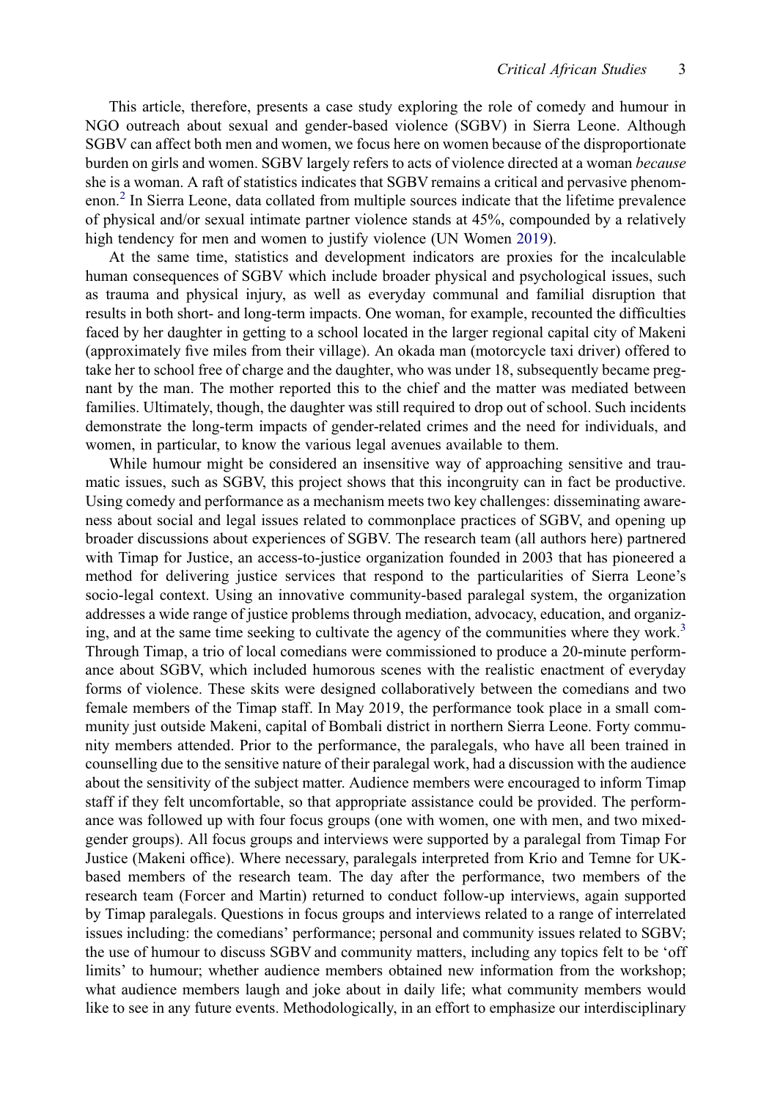This article, therefore, presents a case study exploring the role of comedy and humour in NGO outreach about sexual and gender-based violence (SGBV) in Sierra Leone. Although SGBV can affect both men and women, we focus here on women because of the disproportionate burden on girls and women. SGBV largely refers to acts of violence directed at a woman because she is a woman. A raft of statistics indicates that SGBV remains a critical and pervasive phenomenon.<sup>2</sup> [In Sierra Leone, data collated from multiple sources indicate that the lifetime prevalence](#page-17-2) of physical and/or sexual intimate partner violence stands at 45%, compounded by a relatively high tendency for men and women to justify violence (UN Women [2019](#page-19-2)).

<span id="page-4-0"></span>At the same time, statistics and development indicators are proxies for the incalculable human consequences of SGBV which include broader physical and psychological issues, such as trauma and physical injury, as well as everyday communal and familial disruption that results in both short- and long-term impacts. One woman, for example, recounted the difficulties faced by her daughter in getting to a school located in the larger regional capital city of Makeni (approximately five miles from their village). An okada man (motorcycle taxi driver) offered to take her to school free of charge and the daughter, who was under 18, subsequently became pregnant by the man. The mother reported this to the chief and the matter was mediated between families. Ultimately, though, the daughter was still required to drop out of school. Such incidents demonstrate the long-term impacts of gender-related crimes and the need for individuals, and women, in particular, to know the various legal avenues available to them.

While humour might be considered an insensitive way of approaching sensitive and traumatic issues, such as SGBV, this project shows that this incongruity can in fact be productive. Using comedy and performance as a mechanism meets two key challenges: disseminating awareness about social and legal issues related to commonplace practices of SGBV, and opening up broader discussions about experiences of SGBV. The research team (all authors here) partnered with Timap for Justice, an access-to-justice organization founded in 2003 that has pioneered a method for delivering justice services that respond to the particularities of Sierra Leone's socio-legal context. Using an innovative community-based paralegal system, the organization addresses a wide range of justice problems through mediation, advocacy, education, and organiz-ing, and at the same time seeking to cultivate the agency of the communities where they work.<sup>[3](#page-17-3)</sup> Through Timap, a trio of local comedians were commissioned to produce a 20-minute performance about SGBV, which included humorous scenes with the realistic enactment of everyday forms of violence. These skits were designed collaboratively between the comedians and two female members of the Timap staff. In May 2019, the performance took place in a small community just outside Makeni, capital of Bombali district in northern Sierra Leone. Forty community members attended. Prior to the performance, the paralegals, who have all been trained in counselling due to the sensitive nature of their paralegal work, had a discussion with the audience about the sensitivity of the subject matter. Audience members were encouraged to inform Timap staff if they felt uncomfortable, so that appropriate assistance could be provided. The performance was followed up with four focus groups (one with women, one with men, and two mixedgender groups). All focus groups and interviews were supported by a paralegal from Timap For Justice (Makeni office). Where necessary, paralegals interpreted from Krio and Temne for UKbased members of the research team. The day after the performance, two members of the research team (Forcer and Martin) returned to conduct follow-up interviews, again supported by Timap paralegals. Questions in focus groups and interviews related to a range of interrelated issues including: the comedians' performance; personal and community issues related to SGBV; the use of humour to discuss SGBV and community matters, including any topics felt to be 'off limits' to humour; whether audience members obtained new information from the workshop; what audience members laugh and joke about in daily life; what community members would like to see in any future events. Methodologically, in an effort to emphasize our interdisciplinary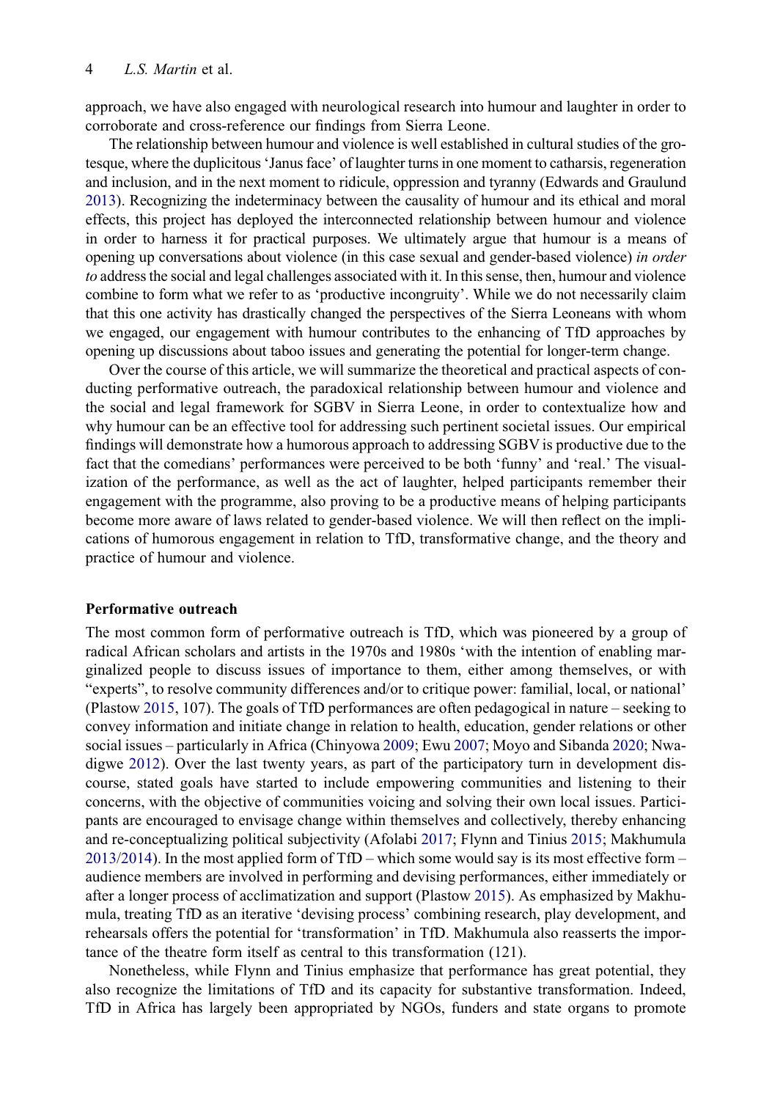approach, we have also engaged with neurological research into humour and laughter in order to corroborate and cross-reference our findings from Sierra Leone.

<span id="page-5-1"></span>The relationship between humour and violence is well established in cultural studies of the grotesque, where the duplicitous'Janus face' of laughter turns in one moment to catharsis, regeneration and inclusion, and in the next moment to ridicule, oppression and tyranny (Edwards and Graulund [2013](#page-18-4)). Recognizing the indeterminacy between the causality of humour and its ethical and moral effects, this project has deployed the interconnected relationship between humour and violence in order to harness it for practical purposes. We ultimately argue that humour is a means of opening up conversations about violence (in this case sexual and gender-based violence) in order to address the social and legal challenges associated with it. In this sense, then, humour and violence combine to form what we refer to as 'productive incongruity'. While we do not necessarily claim that this one activity has drastically changed the perspectives of the Sierra Leoneans with whom we engaged, our engagement with humour contributes to the enhancing of TfD approaches by opening up discussions about taboo issues and generating the potential for longer-term change.

Over the course of this article, we will summarize the theoretical and practical aspects of conducting performative outreach, the paradoxical relationship between humour and violence and the social and legal framework for SGBV in Sierra Leone, in order to contextualize how and why humour can be an effective tool for addressing such pertinent societal issues. Our empirical findings will demonstrate how a humorous approach to addressing SGBV is productive due to the fact that the comedians' performances were perceived to be both 'funny' and 'real.' The visualization of the performance, as well as the act of laughter, helped participants remember their engagement with the programme, also proving to be a productive means of helping participants become more aware of laws related to gender-based violence. We will then reflect on the implications of humorous engagement in relation to TfD, transformative change, and the theory and practice of humour and violence.

#### Performative outreach

<span id="page-5-3"></span><span id="page-5-0"></span>The most common form of performative outreach is TfD, which was pioneered by a group of radical African scholars and artists in the 1970s and 1980s 'with the intention of enabling marginalized people to discuss issues of importance to them, either among themselves, or with "experts", to resolve community differences and/or to critique power: familial, local, or national' (Plastow [2015,](#page-19-3) 107). The goals of TfD performances are often pedagogical in nature – seeking to convey information and initiate change in relation to health, education, gender relations or other social issues – particularly in Africa (Chinyowa [2009;](#page-18-5) Ewu [2007](#page-18-6); Moyo and Sibanda [2020;](#page-19-4) Nwadigwe [2012](#page-19-5)). Over the last twenty years, as part of the participatory turn in development discourse, stated goals have started to include empowering communities and listening to their concerns, with the objective of communities voicing and solving their own local issues. Participants are encouraged to envisage change within themselves and collectively, thereby enhancing and re-conceptualizing political subjectivity (Afolabi [2017](#page-17-1); Flynn and Tinius [2015](#page-18-0); Makhumula [2013/2014](#page-18-7)). In the most applied form of TfD – which some would say is its most effective form – audience members are involved in performing and devising performances, either immediately or after a longer process of acclimatization and support (Plastow [2015](#page-19-3)). As emphasized by Makhumula, treating TfD as an iterative 'devising process' combining research, play development, and rehearsals offers the potential for 'transformation' in TfD. Makhumula also reasserts the importance of the theatre form itself as central to this transformation (121).

<span id="page-5-4"></span><span id="page-5-2"></span>Nonetheless, while Flynn and Tinius emphasize that performance has great potential, they also recognize the limitations of TfD and its capacity for substantive transformation. Indeed, TfD in Africa has largely been appropriated by NGOs, funders and state organs to promote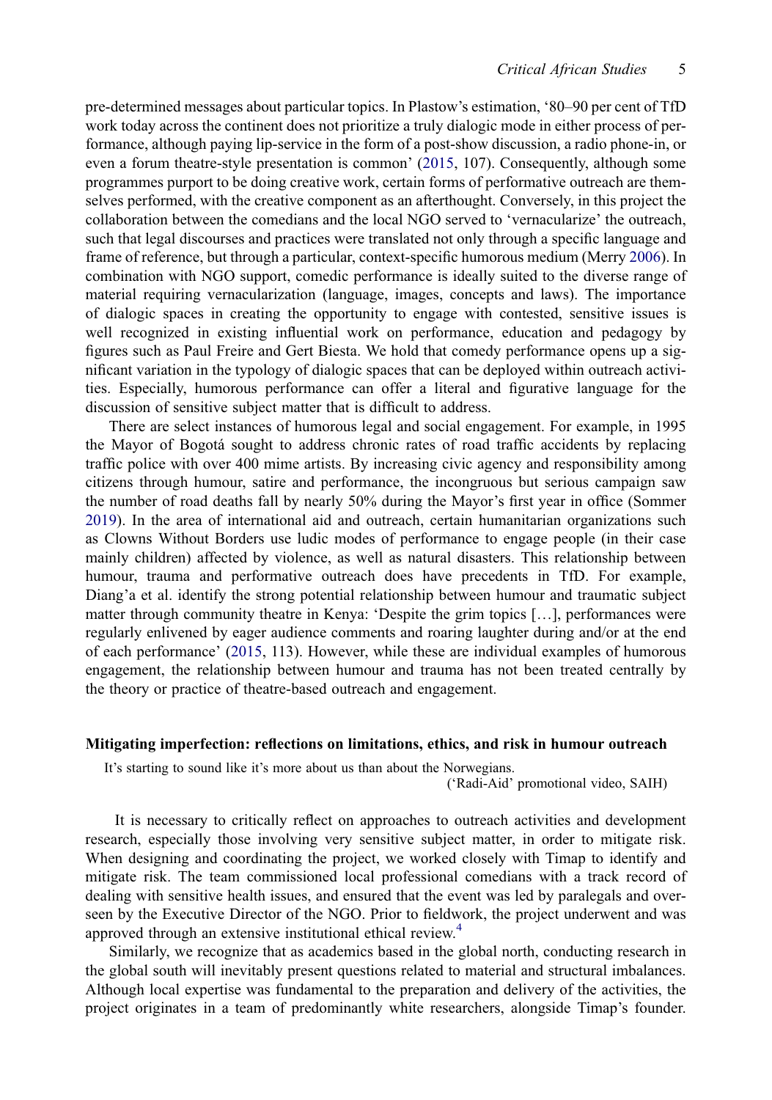<span id="page-6-1"></span>pre-determined messages about particular topics. In Plastow's estimation, '80–90 per cent of TfD work today across the continent does not prioritize a truly dialogic mode in either process of performance, although paying lip-service in the form of a post-show discussion, a radio phone-in, or even a forum theatre-style presentation is common' [\(2015](#page-19-3), 107). Consequently, although some programmes purport to be doing creative work, certain forms of performative outreach are themselves performed, with the creative component as an afterthought. Conversely, in this project the collaboration between the comedians and the local NGO served to 'vernacularize' the outreach, such that legal discourses and practices were translated not only through a specific language and frame of reference, but through a particular, context-specific humorous medium (Merry [2006](#page-19-6)). In combination with NGO support, comedic performance is ideally suited to the diverse range of material requiring vernacularization (language, images, concepts and laws). The importance of dialogic spaces in creating the opportunity to engage with contested, sensitive issues is well recognized in existing influential work on performance, education and pedagogy by figures such as Paul Freire and Gert Biesta. We hold that comedy performance opens up a significant variation in the typology of dialogic spaces that can be deployed within outreach activities. Especially, humorous performance can offer a literal and figurative language for the discussion of sensitive subject matter that is difficult to address.

<span id="page-6-2"></span>There are select instances of humorous legal and social engagement. For example, in 1995 the Mayor of Bogotá sought to address chronic rates of road traffic accidents by replacing traffic police with over 400 mime artists. By increasing civic agency and responsibility among citizens through humour, satire and performance, the incongruous but serious campaign saw the number of road deaths fall by nearly 50% during the Mayor's first year in office (Sommer [2019\)](#page-19-7). In the area of international aid and outreach, certain humanitarian organizations such as Clowns Without Borders use ludic modes of performance to engage people (in their case mainly children) affected by violence, as well as natural disasters. This relationship between humour, trauma and performative outreach does have precedents in TfD. For example, Diang'a et al. identify the strong potential relationship between humour and traumatic subject matter through community theatre in Kenya: 'Despite the grim topics […], performances were regularly enlivened by eager audience comments and roaring laughter during and/or at the end of each performance' ([2015,](#page-18-8) 113). However, while these are individual examples of humorous engagement, the relationship between humour and trauma has not been treated centrally by the theory or practice of theatre-based outreach and engagement.

#### <span id="page-6-0"></span>Mitigating imperfection: reflections on limitations, ethics, and risk in humour outreach

It's starting to sound like it's more about us than about the Norwegians.

('Radi-Aid' promotional video, SAIH)

It is necessary to critically reflect on approaches to outreach activities and development research, especially those involving very sensitive subject matter, in order to mitigate risk. When designing and coordinating the project, we worked closely with Timap to identify and mitigate risk. The team commissioned local professional comedians with a track record of dealing with sensitive health issues, and ensured that the event was led by paralegals and overseen by the Executive Director of the NGO. Prior to fieldwork, the project underwent and was approved through an extensive institutional ethical review.[4](#page-17-4)

Similarly, we recognize that as academics based in the global north, conducting research in the global south will inevitably present questions related to material and structural imbalances. Although local expertise was fundamental to the preparation and delivery of the activities, the project originates in a team of predominantly white researchers, alongside Timap's founder.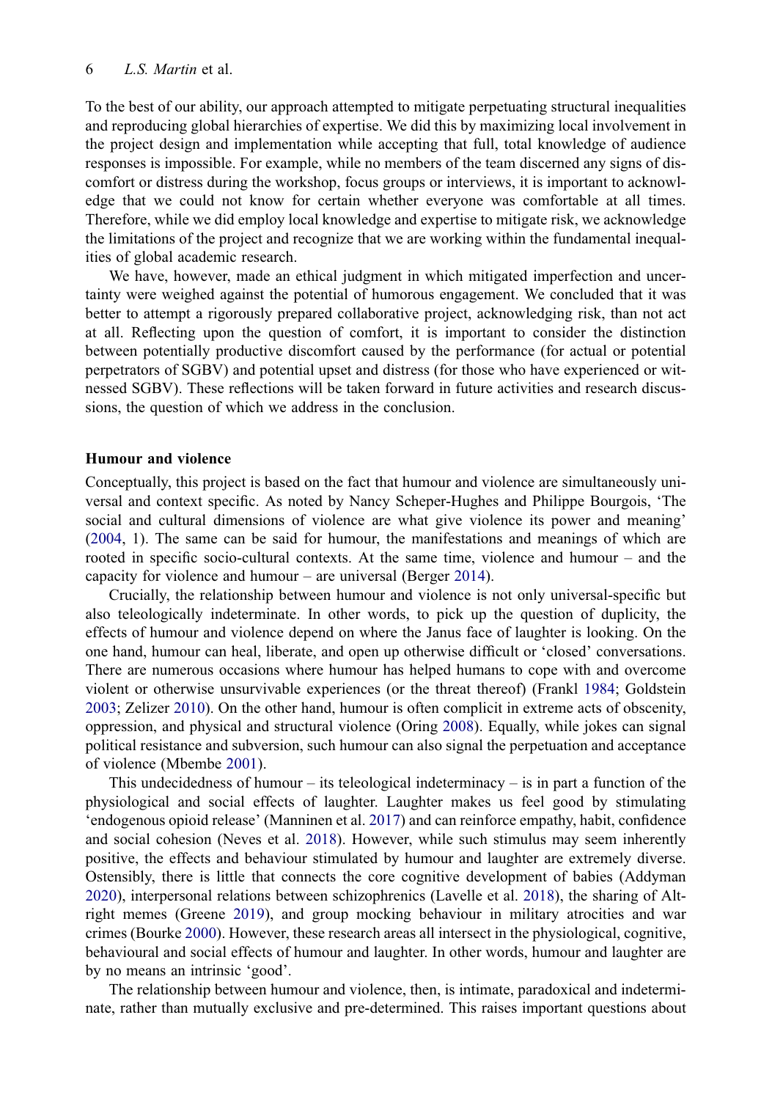#### 6 L.S. Martin et al.

To the best of our ability, our approach attempted to mitigate perpetuating structural inequalities and reproducing global hierarchies of expertise. We did this by maximizing local involvement in the project design and implementation while accepting that full, total knowledge of audience responses is impossible. For example, while no members of the team discerned any signs of discomfort or distress during the workshop, focus groups or interviews, it is important to acknowledge that we could not know for certain whether everyone was comfortable at all times. Therefore, while we did employ local knowledge and expertise to mitigate risk, we acknowledge the limitations of the project and recognize that we are working within the fundamental inequalities of global academic research.

We have, however, made an ethical judgment in which mitigated imperfection and uncertainty were weighed against the potential of humorous engagement. We concluded that it was better to attempt a rigorously prepared collaborative project, acknowledging risk, than not act at all. Reflecting upon the question of comfort, it is important to consider the distinction between potentially productive discomfort caused by the performance (for actual or potential perpetrators of SGBV) and potential upset and distress (for those who have experienced or witnessed SGBV). These reflections will be taken forward in future activities and research discussions, the question of which we address in the conclusion.

#### Humour and violence

<span id="page-7-10"></span>Conceptually, this project is based on the fact that humour and violence are simultaneously universal and context specific. As noted by Nancy Scheper-Hughes and Philippe Bourgois, 'The social and cultural dimensions of violence are what give violence its power and meaning' ([2004,](#page-19-8) 1). The same can be said for humour, the manifestations and meanings of which are rooted in specific socio-cultural contexts. At the same time, violence and humour – and the capacity for violence and humour – are universal (Berger [2014](#page-18-9)).

<span id="page-7-3"></span><span id="page-7-1"></span>Crucially, the relationship between humour and violence is not only universal-specific but also teleologically indeterminate. In other words, to pick up the question of duplicity, the effects of humour and violence depend on where the Janus face of laughter is looking. On the one hand, humour can heal, liberate, and open up otherwise difficult or 'closed' conversations. There are numerous occasions where humour has helped humans to cope with and overcome violent or otherwise unsurvivable experiences (or the threat thereof) (Frankl [1984](#page-18-10); Goldstein [2003;](#page-18-11) Zelizer [2010](#page-19-9)). On the other hand, humour is often complicit in extreme acts of obscenity, oppression, and physical and structural violence (Oring [2008\)](#page-19-10). Equally, while jokes can signal political resistance and subversion, such humour can also signal the perpetuation and acceptance of violence (Mbembe [2001\)](#page-18-12).

<span id="page-7-11"></span><span id="page-7-9"></span><span id="page-7-8"></span><span id="page-7-7"></span><span id="page-7-6"></span><span id="page-7-5"></span><span id="page-7-0"></span>This undecidedness of humour – its teleological indeterminacy – is in part a function of the physiological and social effects of laughter. Laughter makes us feel good by stimulating 'endogenous opioid release' (Manninen et al. [2017\)](#page-18-13) and can reinforce empathy, habit, confidence and social cohesion (Neves et al. [2018](#page-19-11)). However, while such stimulus may seem inherently positive, the effects and behaviour stimulated by humour and laughter are extremely diverse. Ostensibly, there is little that connects the core cognitive development of babies (Addyman [2020\)](#page-17-5), interpersonal relations between schizophrenics (Lavelle et al. [2018\)](#page-18-14), the sharing of Altright memes (Greene [2019](#page-18-15)), and group mocking behaviour in military atrocities and war crimes (Bourke [2000](#page-18-16)). However, these research areas all intersect in the physiological, cognitive, behavioural and social effects of humour and laughter. In other words, humour and laughter are by no means an intrinsic 'good'.

<span id="page-7-4"></span><span id="page-7-2"></span>The relationship between humour and violence, then, is intimate, paradoxical and indeterminate, rather than mutually exclusive and pre-determined. This raises important questions about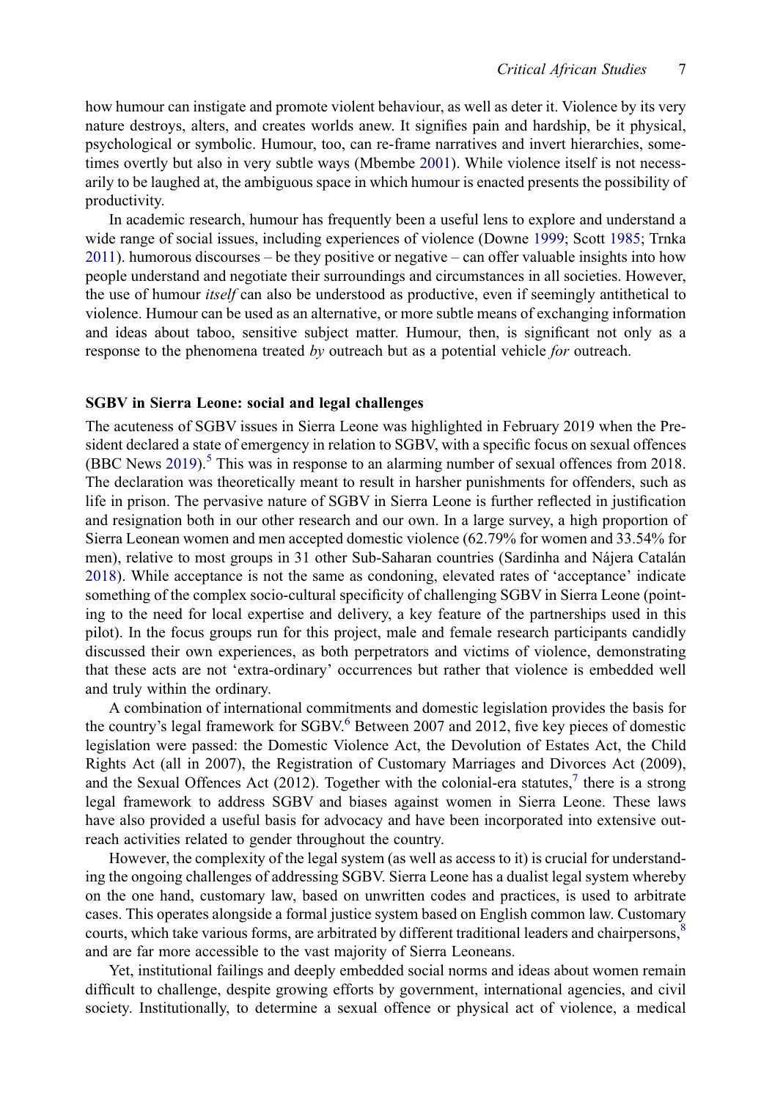how humour can instigate and promote violent behaviour, as well as deter it. Violence by its very nature destroys, alters, and creates worlds anew. It signifies pain and hardship, be it physical, psychological or symbolic. Humour, too, can re-frame narratives and invert hierarchies, sometimes overtly but also in very subtle ways (Mbembe [2001](#page-18-12)). While violence itself is not necessarily to be laughed at, the ambiguous space in which humour is enacted presents the possibility of productivity.

<span id="page-8-1"></span>In academic research, humour has frequently been a useful lens to explore and understand a wide range of social issues, including experiences of violence (Downe [1999;](#page-18-17) Scott [1985;](#page-19-12) Trnka [2011](#page-19-13)). humorous discourses – be they positive or negative – can offer valuable insights into how people understand and negotiate their surroundings and circumstances in all societies. However, the use of humour *itself* can also be understood as productive, even if seemingly antithetical to violence. Humour can be used as an alternative, or more subtle means of exchanging information and ideas about taboo, sensitive subject matter. Humour, then, is significant not only as a response to the phenomena treated by outreach but as a potential vehicle for outreach.

#### SGBV in Sierra Leone: social and legal challenges

<span id="page-8-2"></span><span id="page-8-0"></span>The acuteness of SGBV issues in Sierra Leone was highlighted in February 2019 when the President declared a state of emergency in relation to SGBV, with a specific focus on sexual offences (BBC News [2019\)](#page-17-6).<sup>5</sup> [This was in response to an alarming number of sexual offences from 2018.](#page-17-7) The declaration was theoretically meant to result in harsher punishments for offenders, such as life in prison. The pervasive nature of SGBV in Sierra Leone is further reflected in justification and resignation both in our other research and our own. In a large survey, a high proportion of Sierra Leonean women and men accepted domestic violence (62.79% for women and 33.54% for men), relative to most groups in 31 other Sub-Saharan countries (Sardinha and Nájera Catalán [2018\)](#page-19-14). While acceptance is not the same as condoning, elevated rates of 'acceptance' indicate something of the complex socio-cultural specificity of challenging SGBV in Sierra Leone (pointing to the need for local expertise and delivery, a key feature of the partnerships used in this pilot). In the focus groups run for this project, male and female research participants candidly discussed their own experiences, as both perpetrators and victims of violence, demonstrating that these acts are not 'extra-ordinary' occurrences but rather that violence is embedded well and truly within the ordinary.

A combination of international commitments and domestic legislation provides the basis for the country's legal framework for SGBV.<sup>6</sup> Between 2007 and 2012, fi[ve key pieces of domestic](#page-17-8) legislation were passed: the Domestic Violence Act, the Devolution of Estates Act, the Child Rights Act (all in 2007), the Registration of Customary Marriages and Divorces Act (2009), and the Sexual Offences Act (2012). Together with the colonial-era statutes, $\theta$  [there is a strong](#page-17-9) legal framework to address SGBV and biases against women in Sierra Leone. These laws have also provided a useful basis for advocacy and have been incorporated into extensive outreach activities related to gender throughout the country.

However, the complexity of the legal system (as well as access to it) is crucial for understanding the ongoing challenges of addressing SGBV. Sierra Leone has a dualist legal system whereby on the one hand, customary law, based on unwritten codes and practices, is used to arbitrate cases. This operates alongside a formal justice system based on English common law. Customary courts, which take various forms, are arbitrated by different traditional leaders and chairpersons,<sup>[8](#page-17-10)</sup> and are far more accessible to the vast majority of Sierra Leoneans.

Yet, institutional failings and deeply embedded social norms and ideas about women remain difficult to challenge, despite growing efforts by government, international agencies, and civil society. Institutionally, to determine a sexual offence or physical act of violence, a medical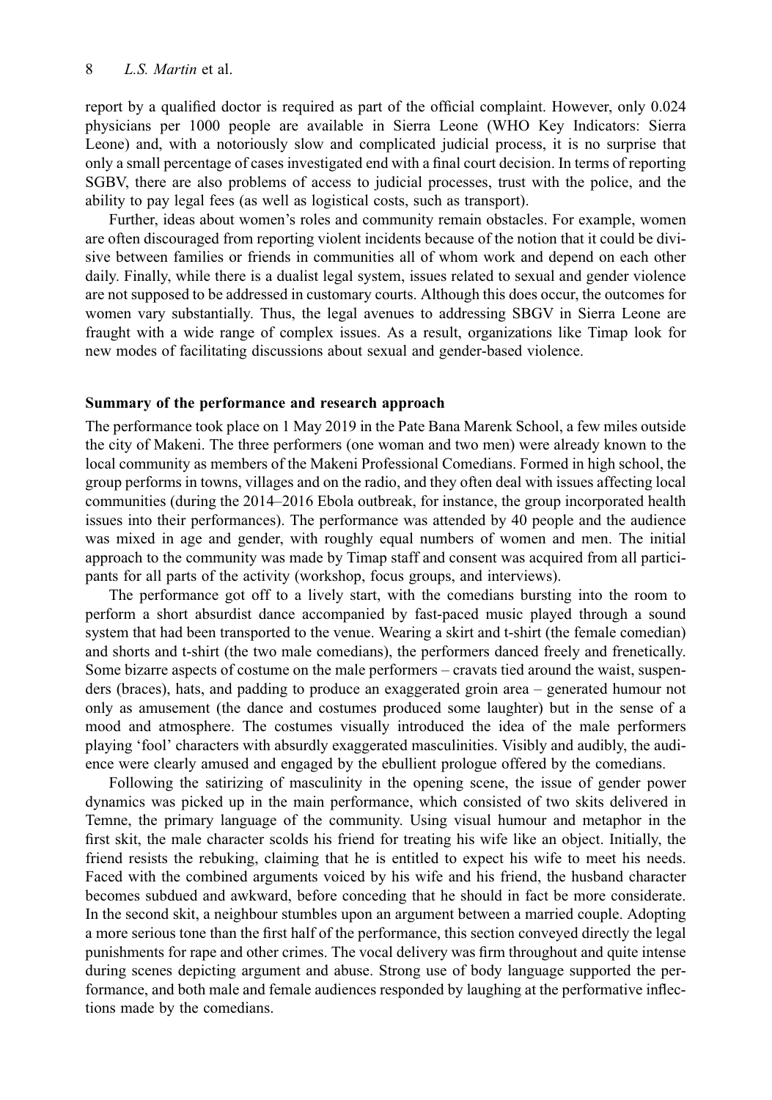#### 8 L.S. Martin et al.

report by a qualified doctor is required as part of the official complaint. However, only 0.024 physicians per 1000 people are available in Sierra Leone (WHO Key Indicators: Sierra Leone) and, with a notoriously slow and complicated judicial process, it is no surprise that only a small percentage of cases investigated end with a final court decision. In terms of reporting SGBV, there are also problems of access to judicial processes, trust with the police, and the ability to pay legal fees (as well as logistical costs, such as transport).

Further, ideas about women's roles and community remain obstacles. For example, women are often discouraged from reporting violent incidents because of the notion that it could be divisive between families or friends in communities all of whom work and depend on each other daily. Finally, while there is a dualist legal system, issues related to sexual and gender violence are not supposed to be addressed in customary courts. Although this does occur, the outcomes for women vary substantially. Thus, the legal avenues to addressing SBGV in Sierra Leone are fraught with a wide range of complex issues. As a result, organizations like Timap look for new modes of facilitating discussions about sexual and gender-based violence.

#### Summary of the performance and research approach

The performance took place on 1 May 2019 in the Pate Bana Marenk School, a few miles outside the city of Makeni. The three performers (one woman and two men) were already known to the local community as members of the Makeni Professional Comedians. Formed in high school, the group performs in towns, villages and on the radio, and they often deal with issues affecting local communities (during the 2014–2016 Ebola outbreak, for instance, the group incorporated health issues into their performances). The performance was attended by 40 people and the audience was mixed in age and gender, with roughly equal numbers of women and men. The initial approach to the community was made by Timap staff and consent was acquired from all participants for all parts of the activity (workshop, focus groups, and interviews).

The performance got off to a lively start, with the comedians bursting into the room to perform a short absurdist dance accompanied by fast-paced music played through a sound system that had been transported to the venue. Wearing a skirt and t-shirt (the female comedian) and shorts and t-shirt (the two male comedians), the performers danced freely and frenetically. Some bizarre aspects of costume on the male performers – cravats tied around the waist, suspenders (braces), hats, and padding to produce an exaggerated groin area – generated humour not only as amusement (the dance and costumes produced some laughter) but in the sense of a mood and atmosphere. The costumes visually introduced the idea of the male performers playing 'fool' characters with absurdly exaggerated masculinities. Visibly and audibly, the audience were clearly amused and engaged by the ebullient prologue offered by the comedians.

Following the satirizing of masculinity in the opening scene, the issue of gender power dynamics was picked up in the main performance, which consisted of two skits delivered in Temne, the primary language of the community. Using visual humour and metaphor in the first skit, the male character scolds his friend for treating his wife like an object. Initially, the friend resists the rebuking, claiming that he is entitled to expect his wife to meet his needs. Faced with the combined arguments voiced by his wife and his friend, the husband character becomes subdued and awkward, before conceding that he should in fact be more considerate. In the second skit, a neighbour stumbles upon an argument between a married couple. Adopting a more serious tone than the first half of the performance, this section conveyed directly the legal punishments for rape and other crimes. The vocal delivery was firm throughout and quite intense during scenes depicting argument and abuse. Strong use of body language supported the performance, and both male and female audiences responded by laughing at the performative inflections made by the comedians.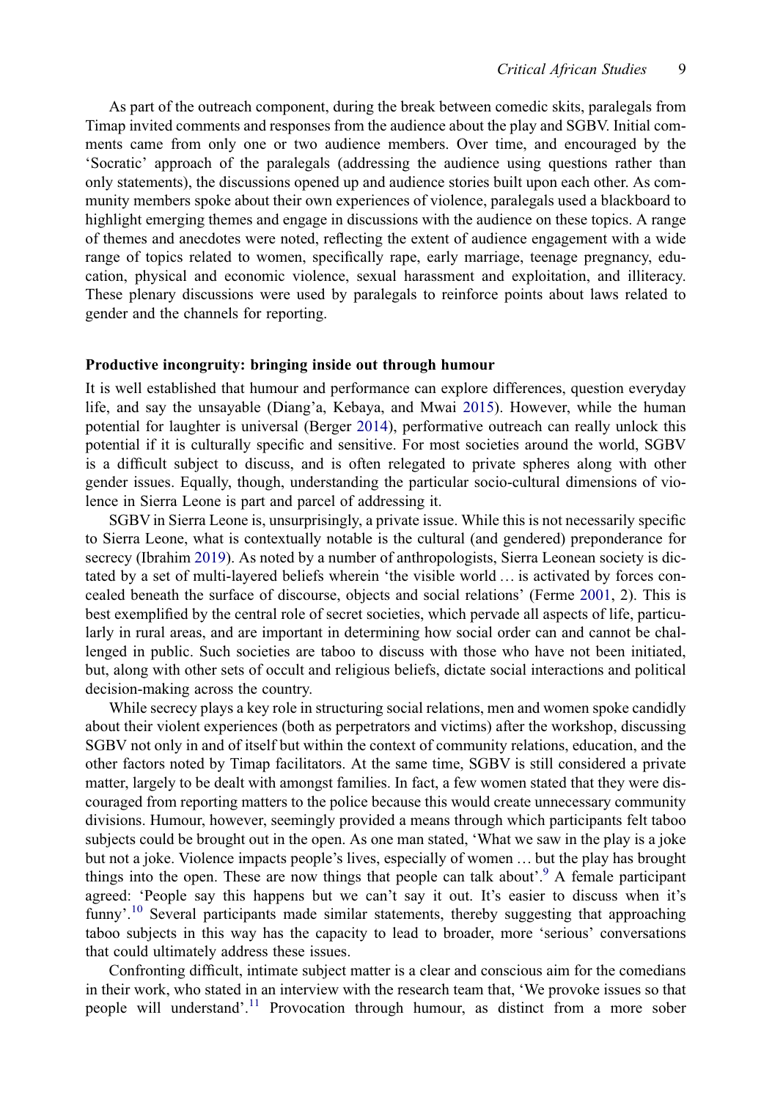As part of the outreach component, during the break between comedic skits, paralegals from Timap invited comments and responses from the audience about the play and SGBV. Initial comments came from only one or two audience members. Over time, and encouraged by the 'Socratic' approach of the paralegals (addressing the audience using questions rather than only statements), the discussions opened up and audience stories built upon each other. As community members spoke about their own experiences of violence, paralegals used a blackboard to highlight emerging themes and engage in discussions with the audience on these topics. A range of themes and anecdotes were noted, reflecting the extent of audience engagement with a wide range of topics related to women, specifically rape, early marriage, teenage pregnancy, education, physical and economic violence, sexual harassment and exploitation, and illiteracy. These plenary discussions were used by paralegals to reinforce points about laws related to gender and the channels for reporting.

#### Productive incongruity: bringing inside out through humour

It is well established that humour and performance can explore differences, question everyday life, and say the unsayable (Diang'a, Kebaya, and Mwai [2015\)](#page-18-8). However, while the human potential for laughter is universal (Berger [2014](#page-18-9)), performative outreach can really unlock this potential if it is culturally specific and sensitive. For most societies around the world, SGBV is a difficult subject to discuss, and is often relegated to private spheres along with other gender issues. Equally, though, understanding the particular socio-cultural dimensions of violence in Sierra Leone is part and parcel of addressing it.

<span id="page-10-1"></span><span id="page-10-0"></span>SGBV in Sierra Leone is, unsurprisingly, a private issue. While this is not necessarily specific to Sierra Leone, what is contextually notable is the cultural (and gendered) preponderance for secrecy (Ibrahim [2019](#page-18-18)). As noted by a number of anthropologists, Sierra Leonean society is dictated by a set of multi-layered beliefs wherein 'the visible world … is activated by forces concealed beneath the surface of discourse, objects and social relations' (Ferme [2001,](#page-18-19) 2). This is best exemplified by the central role of secret societies, which pervade all aspects of life, particularly in rural areas, and are important in determining how social order can and cannot be challenged in public. Such societies are taboo to discuss with those who have not been initiated, but, along with other sets of occult and religious beliefs, dictate social interactions and political decision-making across the country.

While secrecy plays a key role in structuring social relations, men and women spoke candidly about their violent experiences (both as perpetrators and victims) after the workshop, discussing SGBV not only in and of itself but within the context of community relations, education, and the other factors noted by Timap facilitators. At the same time, SGBV is still considered a private matter, largely to be dealt with amongst families. In fact, a few women stated that they were discouraged from reporting matters to the police because this would create unnecessary community divisions. Humour, however, seemingly provided a means through which participants felt taboo subjects could be brought out in the open. As one man stated, 'What we saw in the play is a joke but not a joke. Violence impacts people's lives, especially of women … but the play has brought things into the open. These are now things that people can talk about'.<sup>9</sup> [A female participant](#page-17-11) agreed: 'People say this happens but we can't say it out. It's easier to discuss when it's funny'.<sup>10</sup> [Several participants made similar statements, thereby suggesting that approaching](#page-17-12) taboo subjects in this way has the capacity to lead to broader, more 'serious' conversations that could ultimately address these issues.

Confronting difficult, intimate subject matter is a clear and conscious aim for the comedians in their work, who stated in an interview with the research team that, 'We provoke issues so that people will understand'.<sup>11</sup> [Provocation through humour, as distinct from a more sober](#page-17-13)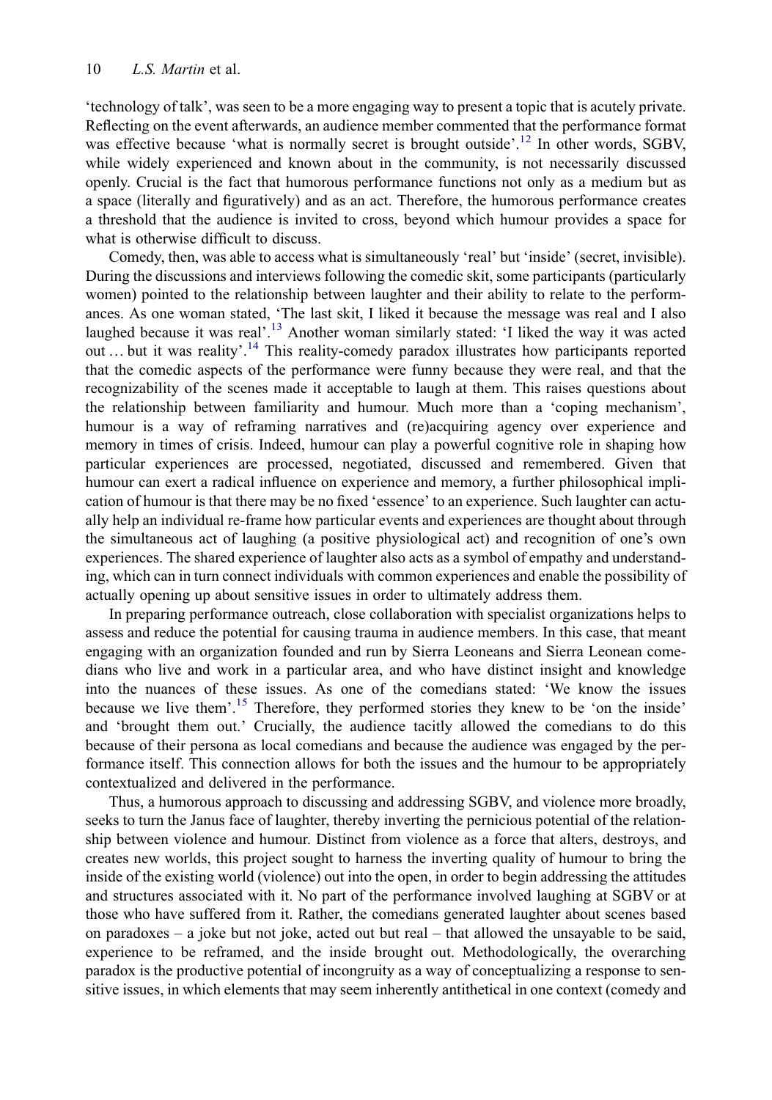'technology of talk', was seen to be a more engaging way to present a topic that is acutely private. Reflecting on the event afterwards, an audience member commented that the performance format was effective because 'what is normally secret is brought outside'.<sup>12</sup> [In other words, SGBV,](#page-17-14) while widely experienced and known about in the community, is not necessarily discussed openly. Crucial is the fact that humorous performance functions not only as a medium but as a space (literally and figuratively) and as an act. Therefore, the humorous performance creates a threshold that the audience is invited to cross, beyond which humour provides a space for what is otherwise difficult to discuss.

Comedy, then, was able to access what is simultaneously 'real' but 'inside' (secret, invisible). During the discussions and interviews following the comedic skit, some participants (particularly women) pointed to the relationship between laughter and their ability to relate to the performances. As one woman stated, 'The last skit, I liked it because the message was real and I also laughed because it was real'.<sup>13</sup> [Another woman similarly stated:](#page-17-15) 'I liked the way it was acted out ... but it was reality'.<sup>14</sup> [This reality-comedy paradox illustrates how participants reported](#page-17-16) that the comedic aspects of the performance were funny because they were real, and that the recognizability of the scenes made it acceptable to laugh at them. This raises questions about the relationship between familiarity and humour. Much more than a 'coping mechanism', humour is a way of reframing narratives and (re)acquiring agency over experience and memory in times of crisis. Indeed, humour can play a powerful cognitive role in shaping how particular experiences are processed, negotiated, discussed and remembered. Given that humour can exert a radical influence on experience and memory, a further philosophical implication of humour is that there may be no fixed 'essence' to an experience. Such laughter can actually help an individual re-frame how particular events and experiences are thought about through the simultaneous act of laughing (a positive physiological act) and recognition of one's own experiences. The shared experience of laughter also acts as a symbol of empathy and understanding, which can in turn connect individuals with common experiences and enable the possibility of actually opening up about sensitive issues in order to ultimately address them.

In preparing performance outreach, close collaboration with specialist organizations helps to assess and reduce the potential for causing trauma in audience members. In this case, that meant engaging with an organization founded and run by Sierra Leoneans and Sierra Leonean comedians who live and work in a particular area, and who have distinct insight and knowledge into the nuances of these issues. As one of the comedians stated: 'We know the issues because we live them'.<sup>15</sup> [Therefore, they performed stories they knew to be](#page-17-17) 'on the inside' and 'brought them out.' Crucially, the audience tacitly allowed the comedians to do this because of their persona as local comedians and because the audience was engaged by the performance itself. This connection allows for both the issues and the humour to be appropriately contextualized and delivered in the performance.

Thus, a humorous approach to discussing and addressing SGBV, and violence more broadly, seeks to turn the Janus face of laughter, thereby inverting the pernicious potential of the relationship between violence and humour. Distinct from violence as a force that alters, destroys, and creates new worlds, this project sought to harness the inverting quality of humour to bring the inside of the existing world (violence) out into the open, in order to begin addressing the attitudes and structures associated with it. No part of the performance involved laughing at SGBV or at those who have suffered from it. Rather, the comedians generated laughter about scenes based on paradoxes – a joke but not joke, acted out but real – that allowed the unsayable to be said, experience to be reframed, and the inside brought out. Methodologically, the overarching paradox is the productive potential of incongruity as a way of conceptualizing a response to sensitive issues, in which elements that may seem inherently antithetical in one context (comedy and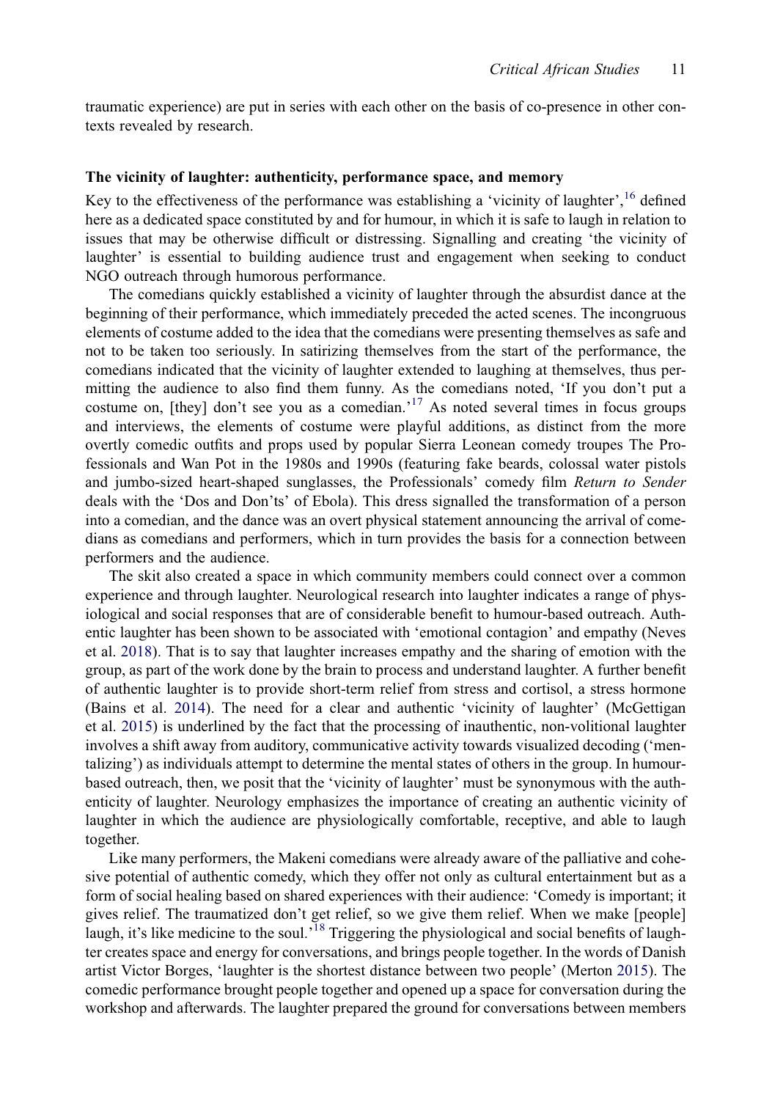traumatic experience) are put in series with each other on the basis of co-presence in other contexts revealed by research.

#### The vicinity of laughter: authenticity, performance space, and memory

Key to the effectiveness of the performance was establishing a 'vicinity of laughter', <sup>16</sup> defi[ned](#page-17-18) here as a dedicated space constituted by and for humour, in which it is safe to laugh in relation to issues that may be otherwise difficult or distressing. Signalling and creating 'the vicinity of laughter' is essential to building audience trust and engagement when seeking to conduct NGO outreach through humorous performance.

The comedians quickly established a vicinity of laughter through the absurdist dance at the beginning of their performance, which immediately preceded the acted scenes. The incongruous elements of costume added to the idea that the comedians were presenting themselves as safe and not to be taken too seriously. In satirizing themselves from the start of the performance, the comedians indicated that the vicinity of laughter extended to laughing at themselves, thus permitting the audience to also find them funny. As the comedians noted, 'If you don't put a costume on, [they] don't see you as a comedian.<sup>17</sup> [As noted several times in focus groups](#page-17-19) and interviews, the elements of costume were playful additions, as distinct from the more overtly comedic outfits and props used by popular Sierra Leonean comedy troupes The Professionals and Wan Pot in the 1980s and 1990s (featuring fake beards, colossal water pistols and jumbo-sized heart-shaped sunglasses, the Professionals' comedy film Return to Sender deals with the 'Dos and Don'ts' of Ebola). This dress signalled the transformation of a person into a comedian, and the dance was an overt physical statement announcing the arrival of comedians as comedians and performers, which in turn provides the basis for a connection between performers and the audience.

<span id="page-12-1"></span><span id="page-12-0"></span>The skit also created a space in which community members could connect over a common experience and through laughter. Neurological research into laughter indicates a range of physiological and social responses that are of considerable benefit to humour-based outreach. Authentic laughter has been shown to be associated with 'emotional contagion' and empathy (Neves et al. [2018](#page-19-11)). That is to say that laughter increases empathy and the sharing of emotion with the group, as part of the work done by the brain to process and understand laughter. A further benefit of authentic laughter is to provide short-term relief from stress and cortisol, a stress hormone (Bains et al. [2014](#page-17-20)). The need for a clear and authentic 'vicinity of laughter' (McGettigan et al. [2015\)](#page-18-20) is underlined by the fact that the processing of inauthentic, non-volitional laughter involves a shift away from auditory, communicative activity towards visualized decoding ('mentalizing') as individuals attempt to determine the mental states of others in the group. In humourbased outreach, then, we posit that the 'vicinity of laughter' must be synonymous with the authenticity of laughter. Neurology emphasizes the importance of creating an authentic vicinity of laughter in which the audience are physiologically comfortable, receptive, and able to laugh together.

<span id="page-12-2"></span>Like many performers, the Makeni comedians were already aware of the palliative and cohesive potential of authentic comedy, which they offer not only as cultural entertainment but as a form of social healing based on shared experiences with their audience: 'Comedy is important; it gives relief. The traumatized don't get relief, so we give them relief. When we make [people] laugh, it's like medicine to the soul.<sup>18</sup> [Triggering the physiological and social bene](#page-17-21)fits of laughter creates space and energy for conversations, and brings people together. In the words of Danish artist Victor Borges, 'laughter is the shortest distance between two people' (Merton [2015](#page-19-15)). The comedic performance brought people together and opened up a space for conversation during the workshop and afterwards. The laughter prepared the ground for conversations between members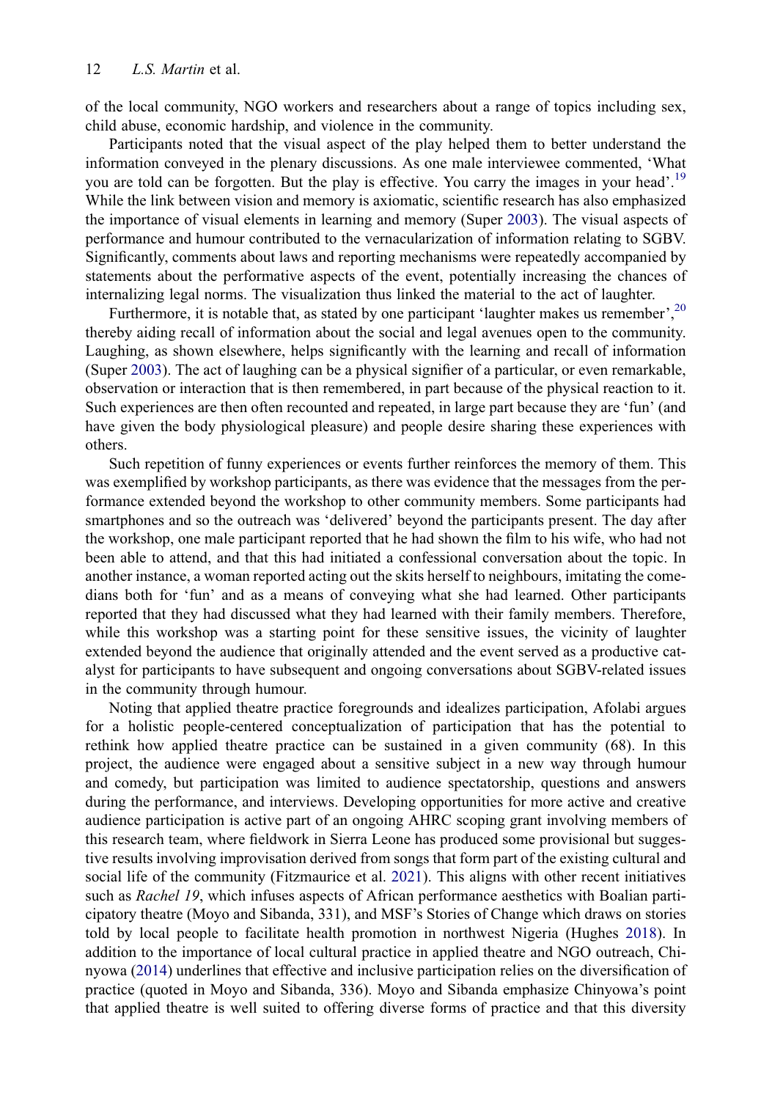of the local community, NGO workers and researchers about a range of topics including sex, child abuse, economic hardship, and violence in the community.

Participants noted that the visual aspect of the play helped them to better understand the information conveyed in the plenary discussions. As one male interviewee commented, 'What you are told can be forgotten. But the play is effective. You carry the images in your head'.<sup>[19](#page-17-22)</sup> While the link between vision and memory is axiomatic, scientific research has also emphasized the importance of visual elements in learning and memory (Super [2003](#page-19-16)). The visual aspects of performance and humour contributed to the vernacularization of information relating to SGBV. Significantly, comments about laws and reporting mechanisms were repeatedly accompanied by statements about the performative aspects of the event, potentially increasing the chances of internalizing legal norms. The visualization thus linked the material to the act of laughter.

<span id="page-13-3"></span>Furthermore, it is notable that, as stated by one participant 'laughter makes us remember',<sup>[20](#page-17-23)</sup> thereby aiding recall of information about the social and legal avenues open to the community. Laughing, as shown elsewhere, helps significantly with the learning and recall of information (Super [2003\)](#page-19-16). The act of laughing can be a physical signifier of a particular, or even remarkable, observation or interaction that is then remembered, in part because of the physical reaction to it. Such experiences are then often recounted and repeated, in large part because they are 'fun' (and have given the body physiological pleasure) and people desire sharing these experiences with others.

Such repetition of funny experiences or events further reinforces the memory of them. This was exemplified by workshop participants, as there was evidence that the messages from the performance extended beyond the workshop to other community members. Some participants had smartphones and so the outreach was 'delivered' beyond the participants present. The day after the workshop, one male participant reported that he had shown the film to his wife, who had not been able to attend, and that this had initiated a confessional conversation about the topic. In another instance, a woman reported acting out the skits herself to neighbours, imitating the comedians both for 'fun' and as a means of conveying what she had learned. Other participants reported that they had discussed what they had learned with their family members. Therefore, while this workshop was a starting point for these sensitive issues, the vicinity of laughter extended beyond the audience that originally attended and the event served as a productive catalyst for participants to have subsequent and ongoing conversations about SGBV-related issues in the community through humour.

<span id="page-13-2"></span><span id="page-13-1"></span><span id="page-13-0"></span>Noting that applied theatre practice foregrounds and idealizes participation, Afolabi argues for a holistic people-centered conceptualization of participation that has the potential to rethink how applied theatre practice can be sustained in a given community (68). In this project, the audience were engaged about a sensitive subject in a new way through humour and comedy, but participation was limited to audience spectatorship, questions and answers during the performance, and interviews. Developing opportunities for more active and creative audience participation is active part of an ongoing AHRC scoping grant involving members of this research team, where fieldwork in Sierra Leone has produced some provisional but suggestive results involving improvisation derived from songs that form part of the existing cultural and social life of the community (Fitzmaurice et al. [2021](#page-18-21)). This aligns with other recent initiatives such as Rachel 19, which infuses aspects of African performance aesthetics with Boalian participatory theatre (Moyo and Sibanda, 331), and MSF's Stories of Change which draws on stories told by local people to facilitate health promotion in northwest Nigeria (Hughes [2018\)](#page-18-22). In addition to the importance of local cultural practice in applied theatre and NGO outreach, Chinyowa [\(2014\)](#page-18-23) underlines that effective and inclusive participation relies on the diversification of practice (quoted in Moyo and Sibanda, 336). Moyo and Sibanda emphasize Chinyowa's point that applied theatre is well suited to offering diverse forms of practice and that this diversity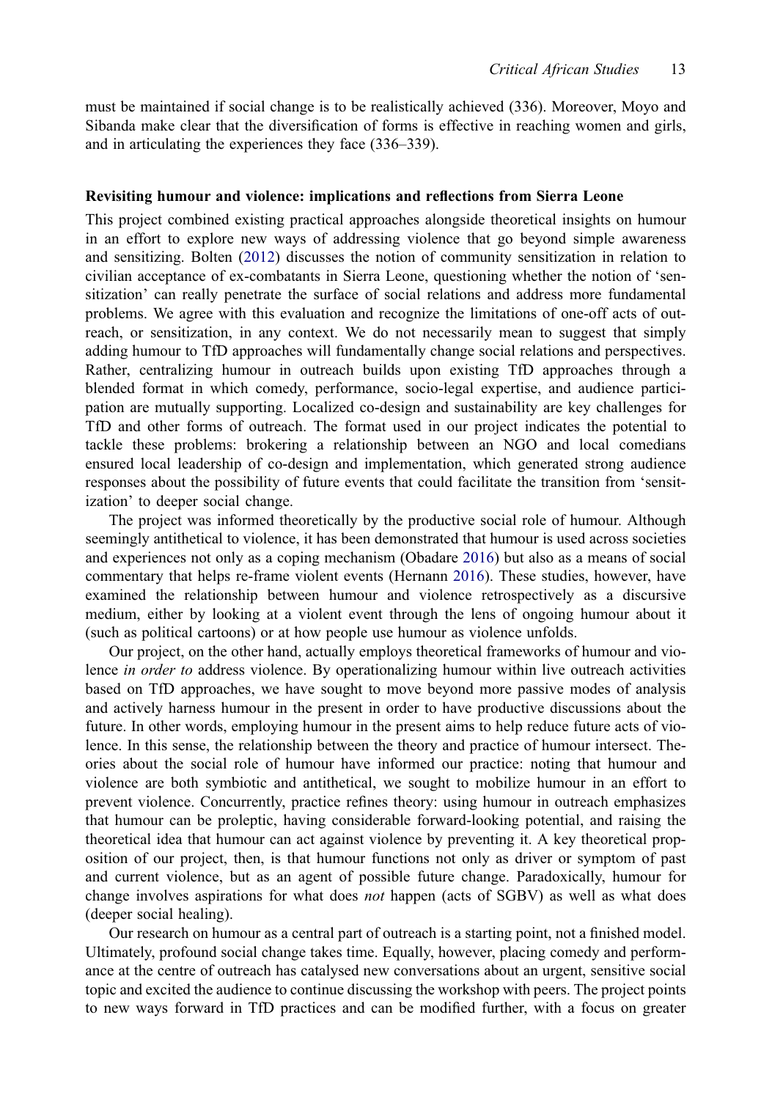must be maintained if social change is to be realistically achieved (336). Moreover, Moyo and Sibanda make clear that the diversification of forms is effective in reaching women and girls, and in articulating the experiences they face (336–339).

#### Revisiting humour and violence: implications and reflections from Sierra Leone

This project combined existing practical approaches alongside theoretical insights on humour in an effort to explore new ways of addressing violence that go beyond simple awareness and sensitizing. Bolten ([2012\)](#page-18-3) discusses the notion of community sensitization in relation to civilian acceptance of ex-combatants in Sierra Leone, questioning whether the notion of 'sensitization' can really penetrate the surface of social relations and address more fundamental problems. We agree with this evaluation and recognize the limitations of one-off acts of outreach, or sensitization, in any context. We do not necessarily mean to suggest that simply adding humour to TfD approaches will fundamentally change social relations and perspectives. Rather, centralizing humour in outreach builds upon existing TfD approaches through a blended format in which comedy, performance, socio-legal expertise, and audience participation are mutually supporting. Localized co-design and sustainability are key challenges for TfD and other forms of outreach. The format used in our project indicates the potential to tackle these problems: brokering a relationship between an NGO and local comedians ensured local leadership of co-design and implementation, which generated strong audience responses about the possibility of future events that could facilitate the transition from 'sensitization' to deeper social change.

<span id="page-14-1"></span><span id="page-14-0"></span>The project was informed theoretically by the productive social role of humour. Although seemingly antithetical to violence, it has been demonstrated that humour is used across societies and experiences not only as a coping mechanism (Obadare [2016\)](#page-19-17) but also as a means of social commentary that helps re-frame violent events (Hernann [2016\)](#page-18-24). These studies, however, have examined the relationship between humour and violence retrospectively as a discursive medium, either by looking at a violent event through the lens of ongoing humour about it (such as political cartoons) or at how people use humour as violence unfolds.

Our project, on the other hand, actually employs theoretical frameworks of humour and violence in order to address violence. By operationalizing humour within live outreach activities based on TfD approaches, we have sought to move beyond more passive modes of analysis and actively harness humour in the present in order to have productive discussions about the future. In other words, employing humour in the present aims to help reduce future acts of violence. In this sense, the relationship between the theory and practice of humour intersect. Theories about the social role of humour have informed our practice: noting that humour and violence are both symbiotic and antithetical, we sought to mobilize humour in an effort to prevent violence. Concurrently, practice refines theory: using humour in outreach emphasizes that humour can be proleptic, having considerable forward-looking potential, and raising the theoretical idea that humour can act against violence by preventing it. A key theoretical proposition of our project, then, is that humour functions not only as driver or symptom of past and current violence, but as an agent of possible future change. Paradoxically, humour for change involves aspirations for what does *not* happen (acts of SGBV) as well as what does (deeper social healing).

Our research on humour as a central part of outreach is a starting point, not a finished model. Ultimately, profound social change takes time. Equally, however, placing comedy and performance at the centre of outreach has catalysed new conversations about an urgent, sensitive social topic and excited the audience to continue discussing the workshop with peers. The project points to new ways forward in TfD practices and can be modified further, with a focus on greater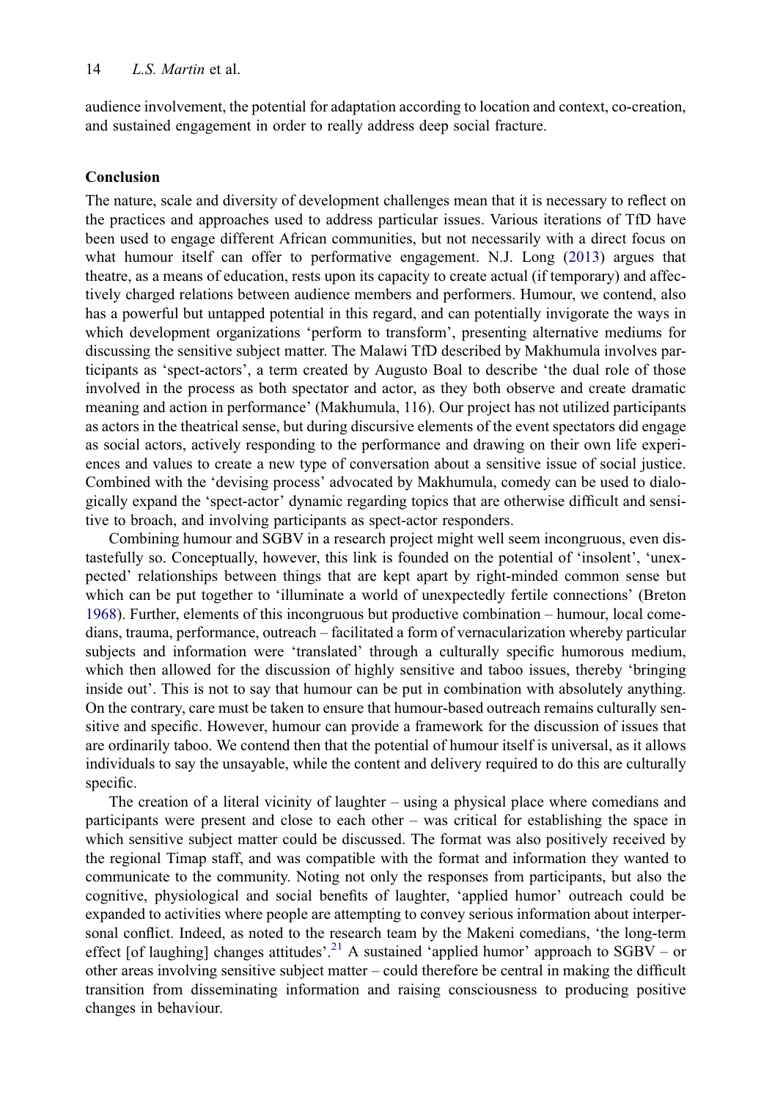audience involvement, the potential for adaptation according to location and context, co-creation, and sustained engagement in order to really address deep social fracture.

#### Conclusion

<span id="page-15-1"></span>The nature, scale and diversity of development challenges mean that it is necessary to reflect on the practices and approaches used to address particular issues. Various iterations of TfD have been used to engage different African communities, but not necessarily with a direct focus on what humour itself can offer to performative engagement. N.J. Long [\(2013](#page-18-25)) argues that theatre, as a means of education, rests upon its capacity to create actual (if temporary) and affectively charged relations between audience members and performers. Humour, we contend, also has a powerful but untapped potential in this regard, and can potentially invigorate the ways in which development organizations 'perform to transform', presenting alternative mediums for discussing the sensitive subject matter. The Malawi TfD described by Makhumula involves participants as 'spect-actors', a term created by Augusto Boal to describe 'the dual role of those involved in the process as both spectator and actor, as they both observe and create dramatic meaning and action in performance' (Makhumula, 116). Our project has not utilized participants as actors in the theatrical sense, but during discursive elements of the event spectators did engage as social actors, actively responding to the performance and drawing on their own life experiences and values to create a new type of conversation about a sensitive issue of social justice. Combined with the 'devising process' advocated by Makhumula, comedy can be used to dialogically expand the 'spect-actor' dynamic regarding topics that are otherwise difficult and sensitive to broach, and involving participants as spect-actor responders.

<span id="page-15-0"></span>Combining humour and SGBV in a research project might well seem incongruous, even distastefully so. Conceptually, however, this link is founded on the potential of 'insolent', 'unexpected' relationships between things that are kept apart by right-minded common sense but which can be put together to 'illuminate a world of unexpectedly fertile connections' (Breton [1968\)](#page-18-26). Further, elements of this incongruous but productive combination – humour, local comedians, trauma, performance, outreach – facilitated a form of vernacularization whereby particular subjects and information were 'translated' through a culturally specific humorous medium, which then allowed for the discussion of highly sensitive and taboo issues, thereby 'bringing inside out'. This is not to say that humour can be put in combination with absolutely anything. On the contrary, care must be taken to ensure that humour-based outreach remains culturally sensitive and specific. However, humour can provide a framework for the discussion of issues that are ordinarily taboo. We contend then that the potential of humour itself is universal, as it allows individuals to say the unsayable, while the content and delivery required to do this are culturally specific.

The creation of a literal vicinity of laughter – using a physical place where comedians and participants were present and close to each other – was critical for establishing the space in which sensitive subject matter could be discussed. The format was also positively received by the regional Timap staff, and was compatible with the format and information they wanted to communicate to the community. Noting not only the responses from participants, but also the cognitive, physiological and social benefits of laughter, 'applied humor' outreach could be expanded to activities where people are attempting to convey serious information about interpersonal conflict. Indeed, as noted to the research team by the Makeni comedians, 'the long-term effect [of laughing] changes attitudes'.<sup>21</sup> A sustained 'applied humor' approach to  $SGBV - or$ other areas involving sensitive subject matter – could therefore be central in making the difficult transition from disseminating information and raising consciousness to producing positive changes in behaviour.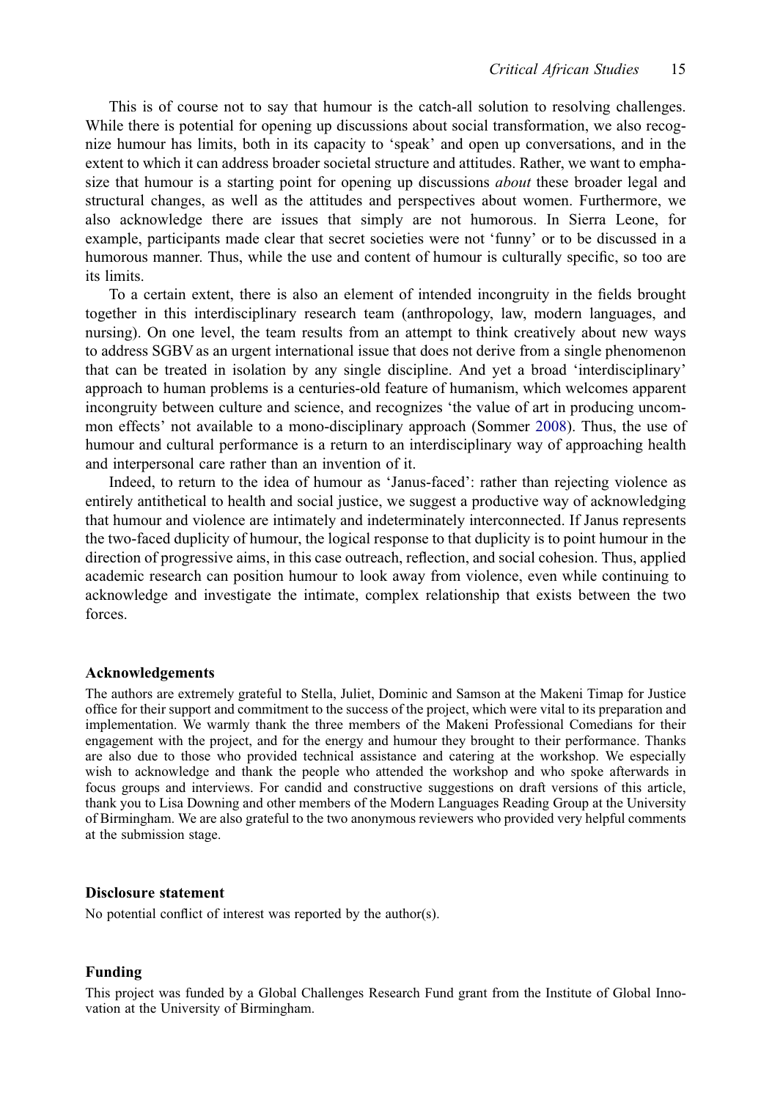This is of course not to say that humour is the catch-all solution to resolving challenges. While there is potential for opening up discussions about social transformation, we also recognize humour has limits, both in its capacity to 'speak' and open up conversations, and in the extent to which it can address broader societal structure and attitudes. Rather, we want to emphasize that humour is a starting point for opening up discussions *about* these broader legal and structural changes, as well as the attitudes and perspectives about women. Furthermore, we also acknowledge there are issues that simply are not humorous. In Sierra Leone, for example, participants made clear that secret societies were not 'funny' or to be discussed in a humorous manner. Thus, while the use and content of humour is culturally specific, so too are its limits.

To a certain extent, there is also an element of intended incongruity in the fields brought together in this interdisciplinary research team (anthropology, law, modern languages, and nursing). On one level, the team results from an attempt to think creatively about new ways to address SGBV as an urgent international issue that does not derive from a single phenomenon that can be treated in isolation by any single discipline. And yet a broad 'interdisciplinary' approach to human problems is a centuries-old feature of humanism, which welcomes apparent incongruity between culture and science, and recognizes 'the value of art in producing uncommon effects' not available to a mono-disciplinary approach (Sommer [2008](#page-19-18)). Thus, the use of humour and cultural performance is a return to an interdisciplinary way of approaching health and interpersonal care rather than an invention of it.

<span id="page-16-0"></span>Indeed, to return to the idea of humour as 'Janus-faced': rather than rejecting violence as entirely antithetical to health and social justice, we suggest a productive way of acknowledging that humour and violence are intimately and indeterminately interconnected. If Janus represents the two-faced duplicity of humour, the logical response to that duplicity is to point humour in the direction of progressive aims, in this case outreach, reflection, and social cohesion. Thus, applied academic research can position humour to look away from violence, even while continuing to acknowledge and investigate the intimate, complex relationship that exists between the two forces.

#### Acknowledgements

The authors are extremely grateful to Stella, Juliet, Dominic and Samson at the Makeni Timap for Justice office for their support and commitment to the success of the project, which were vital to its preparation and implementation. We warmly thank the three members of the Makeni Professional Comedians for their engagement with the project, and for the energy and humour they brought to their performance. Thanks are also due to those who provided technical assistance and catering at the workshop. We especially wish to acknowledge and thank the people who attended the workshop and who spoke afterwards in focus groups and interviews. For candid and constructive suggestions on draft versions of this article, thank you to Lisa Downing and other members of the Modern Languages Reading Group at the University of Birmingham. We are also grateful to the two anonymous reviewers who provided very helpful comments at the submission stage.

#### Disclosure statement

No potential conflict of interest was reported by the author(s).

#### Funding

This project was funded by a Global Challenges Research Fund grant from the Institute of Global Innovation at the University of Birmingham.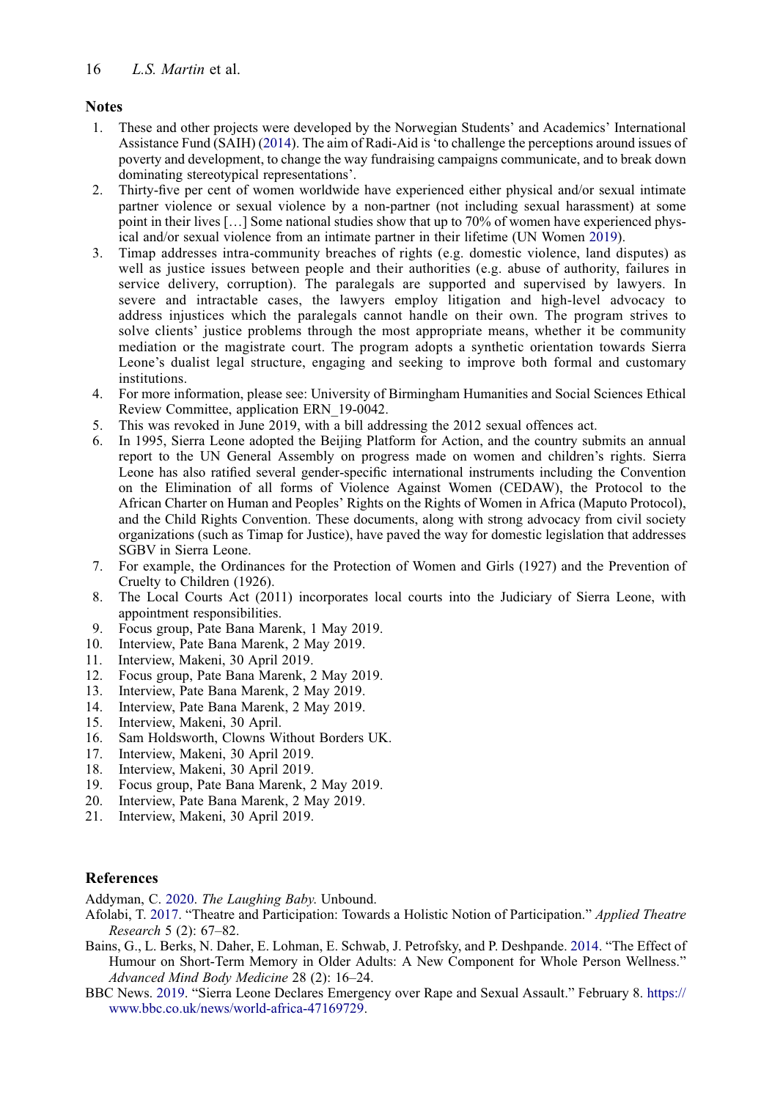### <span id="page-17-0"></span>**Notes**

- <span id="page-17-25"></span>1. These and other projects were developed by the Norwegian Students' and Academics' International Assistance Fund (SAIH) [\(2014](#page-19-19)). The aim of Radi-Aid is 'to challenge the perceptions around issues of poverty and development, to change the way fundraising campaigns communicate, and to break down dominating stereotypical representations'.
- <span id="page-17-2"></span>2. Thirty-five per cent of women worldwide have experienced either physical and/or sexual intimate partner violence or sexual violence by a non-partner (not including sexual harassment) at some point in their lives […] Some national studies show that up to 70% of women have experienced physical and/or sexual violence from an intimate partner in their lifetime (UN Women [2019\)](#page-19-2).
- <span id="page-17-3"></span>3. Timap addresses intra-community breaches of rights (e.g. domestic violence, land disputes) as well as justice issues between people and their authorities (e.g. abuse of authority, failures in service delivery, corruption). The paralegals are supported and supervised by lawyers. In severe and intractable cases, the lawyers employ litigation and high-level advocacy to address injustices which the paralegals cannot handle on their own. The program strives to solve clients' justice problems through the most appropriate means, whether it be community mediation or the magistrate court. The program adopts a synthetic orientation towards Sierra Leone's dualist legal structure, engaging and seeking to improve both formal and customary institutions.
- <span id="page-17-4"></span>4. For more information, please see: University of Birmingham Humanities and Social Sciences Ethical Review Committee, application ERN\_19-0042.
- <span id="page-17-8"></span><span id="page-17-7"></span>5. This was revoked in June 2019, with a bill addressing the 2012 sexual offences act.
- 6. In 1995, Sierra Leone adopted the Beijing Platform for Action, and the country submits an annual report to the UN General Assembly on progress made on women and children's rights. Sierra Leone has also ratified several gender-specific international instruments including the Convention on the Elimination of all forms of Violence Against Women (CEDAW), the Protocol to the African Charter on Human and Peoples' Rights on the Rights of Women in Africa (Maputo Protocol), and the Child Rights Convention. These documents, along with strong advocacy from civil society organizations (such as Timap for Justice), have paved the way for domestic legislation that addresses SGBV in Sierra Leone.
- <span id="page-17-9"></span>7. For example, the Ordinances for the Protection of Women and Girls (1927) and the Prevention of Cruelty to Children (1926).
- <span id="page-17-10"></span>8. The Local Courts Act (2011) incorporates local courts into the Judiciary of Sierra Leone, with appointment responsibilities.
- <span id="page-17-12"></span><span id="page-17-11"></span>9. Focus group, Pate Bana Marenk, 1 May 2019.
- <span id="page-17-13"></span>10. Interview, Pate Bana Marenk, 2 May 2019.
- <span id="page-17-14"></span>11. Interview, Makeni, 30 April 2019.
- <span id="page-17-15"></span>12. Focus group, Pate Bana Marenk, 2 May 2019.
- <span id="page-17-16"></span>13. Interview, Pate Bana Marenk, 2 May 2019.
- <span id="page-17-17"></span>14. Interview, Pate Bana Marenk, 2 May 2019.
- <span id="page-17-18"></span>15. Interview, Makeni, 30 April.
- <span id="page-17-19"></span>16. Sam Holdsworth, Clowns Without Borders UK.
- <span id="page-17-21"></span>17. Interview, Makeni, 30 April 2019.
- 18. Interview, Makeni, 30 April 2019.
- <span id="page-17-23"></span><span id="page-17-22"></span>19. Focus group, Pate Bana Marenk, 2 May 2019.
- <span id="page-17-24"></span>20. Interview, Pate Bana Marenk, 2 May 2019.
- 21. Interview, Makeni, 30 April 2019.

### References

<span id="page-17-5"></span><span id="page-17-1"></span>Addyman, C. [2020](#page-7-0). The Laughing Baby. Unbound.

- Afolabi, T. [2017](#page-3-0). "Theatre and Participation: Towards a Holistic Notion of Participation." Applied Theatre Research 5 (2): 67–82.
- <span id="page-17-20"></span>Bains, G., L. Berks, N. Daher, E. Lohman, E. Schwab, J. Petrofsky, and P. Deshpande. [2014.](#page-12-0) "The Effect of Humour on Short-Term Memory in Older Adults: A New Component for Whole Person Wellness." Advanced Mind Body Medicine 28 (2): 16–24.
- <span id="page-17-6"></span>BBC News. [2019](#page-8-0). "Sierra Leone Declares Emergency over Rape and Sexual Assault." February 8. [https://](https://www.bbc.co.uk/news/world-africa-47169729) [www.bbc.co.uk/news/world-africa-47169729.](https://www.bbc.co.uk/news/world-africa-47169729)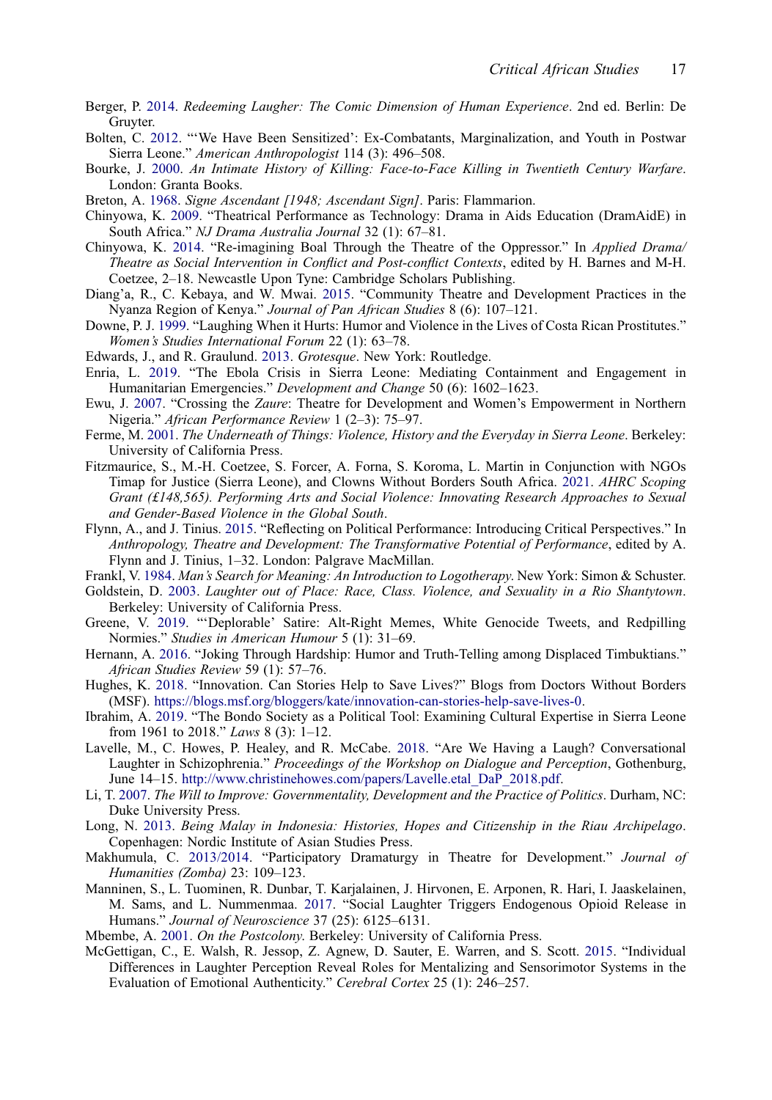- <span id="page-18-9"></span>Berger, P. [2014.](#page-7-1) Redeeming Laugher: The Comic Dimension of Human Experience. 2nd ed. Berlin: De Gruyter.
- <span id="page-18-3"></span>Bolten, C. [2012](#page-3-1). "'We Have Been Sensitized': Ex-Combatants, Marginalization, and Youth in Postwar Sierra Leone." American Anthropologist 114 (3): 496–508.
- <span id="page-18-16"></span>Bourke, J. [2000.](#page-7-2) An Intimate History of Killing: Face-to-Face Killing in Twentieth Century Warfare. London: Granta Books.
- <span id="page-18-26"></span><span id="page-18-5"></span>Breton, A. [1968](#page-15-0). Signe Ascendant [1948; Ascendant Sign]. Paris: Flammarion.
- Chinyowa, K. [2009](#page-5-0). "Theatrical Performance as Technology: Drama in Aids Education (DramAidE) in South Africa." NJ Drama Australia Journal 32 (1): 67–81.
- <span id="page-18-23"></span>Chinyowa, K. [2014](#page-13-0). "Re-imagining Boal Through the Theatre of the Oppressor." In Applied Drama/ Theatre as Social Intervention in Conflict and Post-conflict Contexts, edited by H. Barnes and M-H. Coetzee, 2–18. Newcastle Upon Tyne: Cambridge Scholars Publishing.
- <span id="page-18-8"></span>Diang'a, R., C. Kebaya, and W. Mwai. [2015](#page-6-0). "Community Theatre and Development Practices in the Nyanza Region of Kenya." Journal of Pan African Studies 8 (6): 107–121.
- <span id="page-18-17"></span>Downe, P. J. [1999](#page-8-1). "Laughing When it Hurts: Humor and Violence in the Lives of Costa Rican Prostitutes." Women's Studies International Forum 22 (1): 63–78.
- <span id="page-18-4"></span><span id="page-18-2"></span>Edwards, J., and R. Graulund. [2013](#page-5-1). Grotesque. New York: Routledge.
- Enria, L. [2019](#page-3-2). "The Ebola Crisis in Sierra Leone: Mediating Containment and Engagement in Humanitarian Emergencies." Development and Change 50 (6): 1602-1623.
- <span id="page-18-6"></span>Ewu, J. [2007.](#page-5-0) "Crossing the Zaure: Theatre for Development and Women's Empowerment in Northern Nigeria." African Performance Review 1 (2–3): 75–97.
- <span id="page-18-19"></span>Ferme, M. [2001](#page-10-0). The Underneath of Things: Violence, History and the Everyday in Sierra Leone. Berkeley: University of California Press.
- <span id="page-18-21"></span>Fitzmaurice, S., M.-H. Coetzee, S. Forcer, A. Forna, S. Koroma, L. Martin in Conjunction with NGOs Timap for Justice (Sierra Leone), and Clowns Without Borders South Africa. [2021.](#page-13-1) AHRC Scoping Grant (£148,565). Performing Arts and Social Violence: Innovating Research Approaches to Sexual and Gender-Based Violence in the Global South.
- <span id="page-18-0"></span>Flynn, A., and J. Tinius. [2015.](#page-3-3) "Reflecting on Political Performance: Introducing Critical Perspectives." In Anthropology, Theatre and Development: The Transformative Potential of Performance, edited by A. Flynn and J. Tinius, 1–32. London: Palgrave MacMillan.
- <span id="page-18-11"></span><span id="page-18-10"></span>Frankl, V. [1984.](#page-7-3) Man's Search for Meaning: An Introduction to Logotherapy. New York: Simon & Schuster.
- Goldstein, D. [2003.](#page-7-3) Laughter out of Place: Race, Class. Violence, and Sexuality in a Rio Shantytown. Berkeley: University of California Press.
- <span id="page-18-15"></span>Greene, V. [2019.](#page-7-4) "'Deplorable' Satire: Alt-Right Memes, White Genocide Tweets, and Redpilling Normies." Studies in American Humour 5 (1): 31–69.
- <span id="page-18-24"></span>Hernann, A. [2016.](#page-14-0) "Joking Through Hardship: Humor and Truth-Telling among Displaced Timbuktians." African Studies Review 59 (1): 57–76.
- <span id="page-18-22"></span>Hughes, K. [2018.](#page-13-2) "Innovation. Can Stories Help to Save Lives?" Blogs from Doctors Without Borders (MSF). [https://blogs.msf.org/bloggers/kate/innovation-can-stories-help-save-lives-0.](https://blogs.msf.org/bloggers/kate/innovation-can-stories-help-save-lives-0)
- <span id="page-18-18"></span>Ibrahim, A. [2019.](#page-10-1) "The Bondo Society as a Political Tool: Examining Cultural Expertise in Sierra Leone from 1961 to 2018." Laws 8 (3): 1–12.
- <span id="page-18-14"></span>Lavelle, M., C. Howes, P. Healey, and R. McCabe. [2018.](#page-7-5) "Are We Having a Laugh? Conversational Laughter in Schizophrenia." Proceedings of the Workshop on Dialogue and Perception, Gothenburg, June 14–15. [http://www.christinehowes.com/papers/Lavelle.etal\\_DaP\\_2018.pdf](http://www.christinehowes.com/papers/Lavelle.etal_DaP_2018.pdf).
- <span id="page-18-1"></span>Li, T. [2007](#page-3-2). The Will to Improve: Governmentality, Development and the Practice of Politics. Durham, NC: Duke University Press.
- <span id="page-18-25"></span>Long, N. [2013.](#page-15-1) Being Malay in Indonesia: Histories, Hopes and Citizenship in the Riau Archipelago. Copenhagen: Nordic Institute of Asian Studies Press.
- <span id="page-18-7"></span>Makhumula, C. [2013/2014](#page-5-2). "Participatory Dramaturgy in Theatre for Development." Journal of Humanities (Zomba) 23: 109–123.
- <span id="page-18-13"></span>Manninen, S., L. Tuominen, R. Dunbar, T. Karjalainen, J. Hirvonen, E. Arponen, R. Hari, I. Jaaskelainen, M. Sams, and L. Nummenmaa. [2017.](#page-7-6) "Social Laughter Triggers Endogenous Opioid Release in Humans." Journal of Neuroscience 37 (25): 6125–6131.
- <span id="page-18-20"></span><span id="page-18-12"></span>Mbembe, A. [2001](#page-7-7). On the Postcolony. Berkeley: University of California Press.
- McGettigan, C., E. Walsh, R. Jessop, Z. Agnew, D. Sauter, E. Warren, and S. Scott. [2015.](#page-12-1) "Individual Differences in Laughter Perception Reveal Roles for Mentalizing and Sensorimotor Systems in the Evaluation of Emotional Authenticity." Cerebral Cortex 25 (1): 246–257.